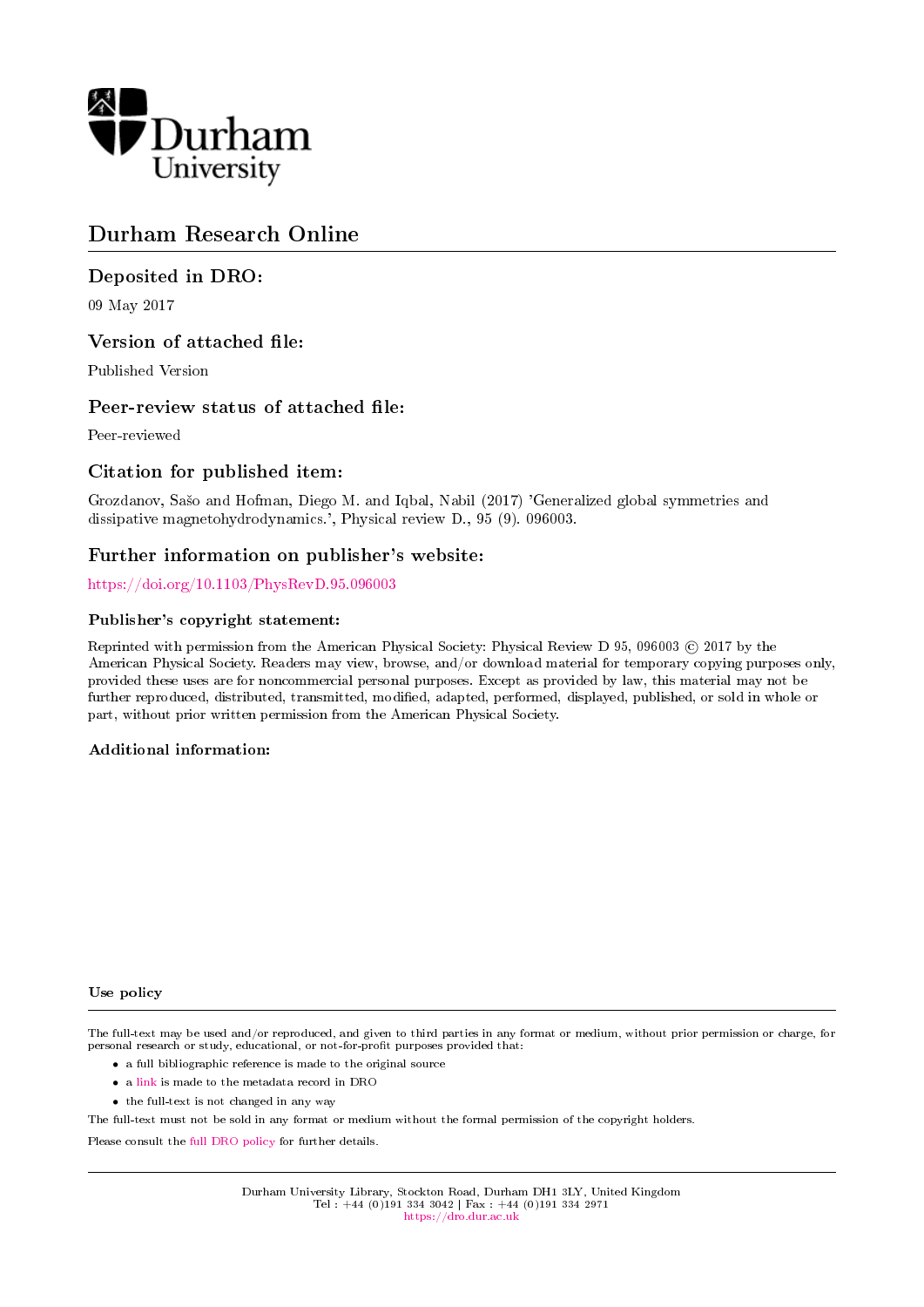

# Durham Research Online

# Deposited in DRO:

09 May 2017

# Version of attached file:

Published Version

# Peer-review status of attached file:

Peer-reviewed

# Citation for published item:

Grozdanov, Saso and Hofman, Diego M. and Iqbal, Nabil (2017) 'Generalized global symmetries and dissipative magnetohydrodynamics.', Physical review D., 95 (9). 096003.

# Further information on publisher's website:

<https://doi.org/10.1103/PhysRevD.95.096003>

# Publisher's copyright statement:

Reprinted with permission from the American Physical Society: Physical Review D 95, 096003 C 2017 by the American Physical Society. Readers may view, browse, and/or download material for temporary copying purposes only, provided these uses are for noncommercial personal purposes. Except as provided by law, this material may not be further reproduced, distributed, transmitted, modified, adapted, performed, displayed, published, or sold in whole or part, without prior written permission from the American Physical Society.

# Additional information:

## Use policy

The full-text may be used and/or reproduced, and given to third parties in any format or medium, without prior permission or charge, for personal research or study, educational, or not-for-profit purposes provided that:

- a full bibliographic reference is made to the original source
- a [link](http://dro.dur.ac.uk/21714/) is made to the metadata record in DRO
- the full-text is not changed in any way

The full-text must not be sold in any format or medium without the formal permission of the copyright holders.

Please consult the [full DRO policy](https://dro.dur.ac.uk/policies/usepolicy.pdf) for further details.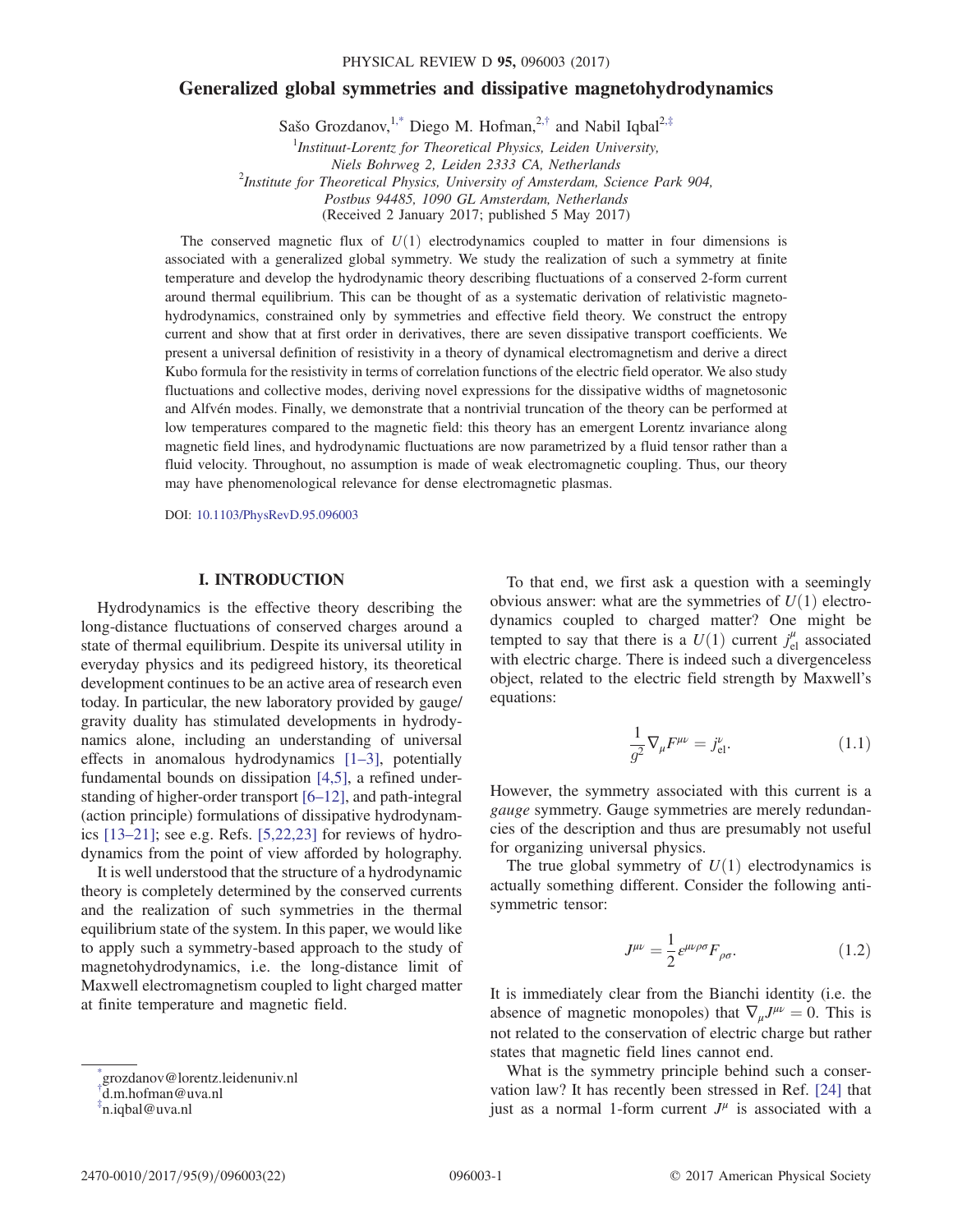# <span id="page-1-3"></span>Generalized global symmetries and dissipative magnetohydrodynamics

Sašo Grozdanov,<sup>[1,\\*](#page-1-0)</sup> Diego M. Hofman,<sup>2,[†](#page-1-1)</sup> and Nabil Iqbal<sup>2,[‡](#page-1-2)</sup>

 $<sup>1</sup>$ Instituut-Lorentz for Theoretical Physics, Leiden University,</sup> Niels Bohrweg 2, Leiden 2333 CA, Netherlands<br>2 *Institute for Theoretical Physics, University of Amsterdam, Science Park 904* Postbus 94485, 1090 GL Amsterdam, Netherlands (Received 2 January 2017; published 5 May 2017)

The conserved magnetic flux of  $U(1)$  electrodynamics coupled to matter in four dimensions is associated with a generalized global symmetry. We study the realization of such a symmetry at finite temperature and develop the hydrodynamic theory describing fluctuations of a conserved 2-form current around thermal equilibrium. This can be thought of as a systematic derivation of relativistic magnetohydrodynamics, constrained only by symmetries and effective field theory. We construct the entropy current and show that at first order in derivatives, there are seven dissipative transport coefficients. We present a universal definition of resistivity in a theory of dynamical electromagnetism and derive a direct Kubo formula for the resistivity in terms of correlation functions of the electric field operator. We also study fluctuations and collective modes, deriving novel expressions for the dissipative widths of magnetosonic and Alfvén modes. Finally, we demonstrate that a nontrivial truncation of the theory can be performed at low temperatures compared to the magnetic field: this theory has an emergent Lorentz invariance along magnetic field lines, and hydrodynamic fluctuations are now parametrized by a fluid tensor rather than a fluid velocity. Throughout, no assumption is made of weak electromagnetic coupling. Thus, our theory may have phenomenological relevance for dense electromagnetic plasmas.

DOI: [10.1103/PhysRevD.95.096003](https://doi.org/10.1103/PhysRevD.95.096003)

#### I. INTRODUCTION

Hydrodynamics is the effective theory describing the long-distance fluctuations of conserved charges around a state of thermal equilibrium. Despite its universal utility in everyday physics and its pedigreed history, its theoretical development continues to be an active area of research even today. In particular, the new laboratory provided by gauge/ gravity duality has stimulated developments in hydrodynamics alone, including an understanding of universal effects in anomalous hydrodynamics [1–[3\],](#page-21-0) potentially fundamental bounds on dissipation [\[4,5\]](#page-21-1), a refined understanding of higher-order transport [6–[12\],](#page-21-2) and path-integral (action principle) formulations of dissipative hydrodynamics  $[13-21]$ ; see e.g. Refs.  $[5,22,23]$  for reviews of hydrodynamics from the point of view afforded by holography.

It is well understood that the structure of a hydrodynamic theory is completely determined by the conserved currents and the realization of such symmetries in the thermal equilibrium state of the system. In this paper, we would like to apply such a symmetry-based approach to the study of magnetohydrodynamics, i.e. the long-distance limit of Maxwell electromagnetism coupled to light charged matter at finite temperature and magnetic field.

To that end, we first ask a question with a seemingly obvious answer: what are the symmetries of  $U(1)$  electrodynamics coupled to charged matter? One might be tempted to say that there is a  $U(1)$  current  $j_{el}^{\mu}$  associated<br>with electric charge. There is indeed such a divergenceless with electric charge. There is indeed such a divergenceless object, related to the electric field strength by Maxwell's equations:

$$
\frac{1}{g^2} \nabla_{\mu} F^{\mu\nu} = j_{\text{el}}^{\nu}.
$$
 (1.1)

<span id="page-1-5"></span>However, the symmetry associated with this current is a gauge symmetry. Gauge symmetries are merely redundancies of the description and thus are presumably not useful for organizing universal physics.

<span id="page-1-4"></span>The true global symmetry of  $U(1)$  electrodynamics is actually something different. Consider the following antisymmetric tensor:

$$
J^{\mu\nu} = \frac{1}{2} \varepsilon^{\mu\nu\rho\sigma} F_{\rho\sigma}.
$$
 (1.2)

It is immediately clear from the Bianchi identity (i.e. the absence of magnetic monopoles) that  $\nabla_{\mu}J^{\mu\nu} = 0$ . This is not related to the conservation of electric charge but rather states that magnetic field lines cannot end.

What is the symmetry principle behind such a conservation law? It has recently been stressed in Ref. [\[24\]](#page-22-1) that just as a normal 1-form current  $J^{\mu}$  is associated with a

<span id="page-1-0"></span>[<sup>\\*</sup>](#page-1-3) grozdanov@lorentz.leidenuniv.nl

<span id="page-1-1"></span>[<sup>†</sup>](#page-1-3) d.m.hofman@uva.nl

<span id="page-1-2"></span>[<sup>‡</sup>](#page-1-3) n.iqbal@uva.nl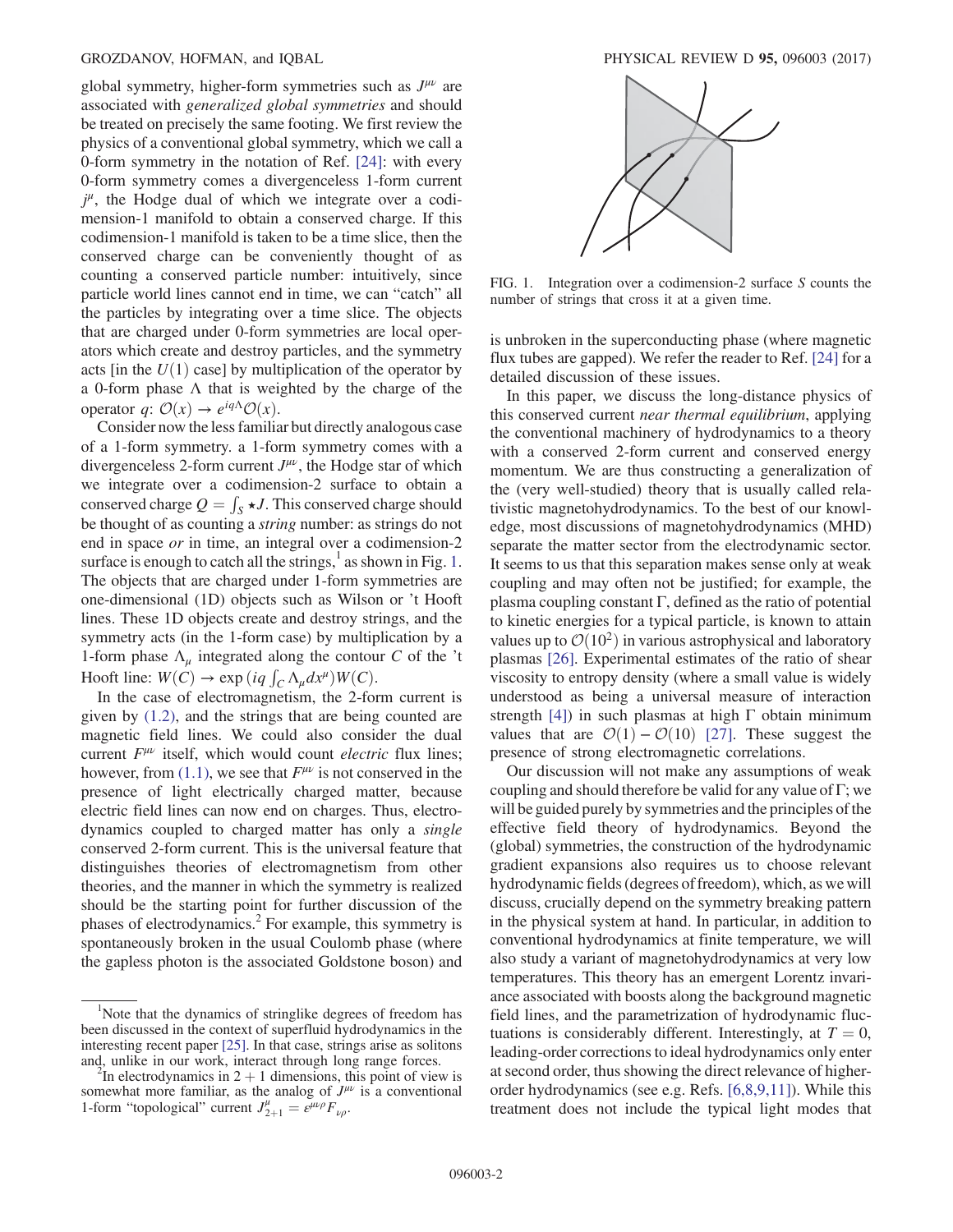global symmetry, higher-form symmetries such as  $J^{\mu\nu}$  are associated with generalized global symmetries and should be treated on precisely the same footing. We first review the physics of a conventional global symmetry, which we call a 0-form symmetry in the notation of Ref. [\[24\]:](#page-22-1) with every 0-form symmetry comes a divergenceless 1-form current  $j^{\mu}$ , the Hodge dual of which we integrate over a codimension-1 manifold to obtain a conserved charge. If this codimension-1 manifold is taken to be a time slice, then the conserved charge can be conveniently thought of as counting a conserved particle number: intuitively, since particle world lines cannot end in time, we can "catch" all the particles by integrating over a time slice. The objects that are charged under 0-form symmetries are local operators which create and destroy particles, and the symmetry acts [in the  $U(1)$  case] by multiplication of the operator by a 0-form phase  $\Lambda$  that is weighted by the charge of the operator q:  $\mathcal{O}(x) \rightarrow e^{iq\Lambda} \mathcal{O}(x)$ .

Consider now the less familiar but directly analogous case of a 1-form symmetry. a 1-form symmetry comes with a divergenceless 2-form current  $J^{\mu\nu}$ , the Hodge star of which we integrate over a codimension-2 surface to obtain a conserved charge  $Q = \int_S \star J$ . This conserved charge should<br>be thought of as counting a *string* number: as strings do not be thought of as counting a *string* number: as strings do not end in space *or* in time, an integral over a codimension-2 surface is enough to catch all the strings, $\frac{1}{s}$  $\frac{1}{s}$  $\frac{1}{s}$  as shown in Fig. 1. The objects that are charged under 1-form symmetries are one-dimensional (1D) objects such as Wilson or 't Hooft lines. These 1D objects create and destroy strings, and the symmetry acts (in the 1-form case) by multiplication by a 1-form phase  $\Lambda_{\mu}$  integrated along the contour C of the 't Hooft line:  $W(C) \rightarrow \exp(iq \int_C \Lambda_\mu dx^\mu) W(C)$ .<br>In the case of electromagnetism, the 2-form

In the case of electromagnetism, the 2-form current is given by [\(1.2\),](#page-1-4) and the strings that are being counted are magnetic field lines. We could also consider the dual current  $F^{\mu\nu}$  itself, which would count *electric* flux lines; however, from [\(1.1\)](#page-1-5), we see that  $F^{\mu\nu}$  is not conserved in the presence of light electrically charged matter, because electric field lines can now end on charges. Thus, electrodynamics coupled to charged matter has only a single conserved 2-form current. This is the universal feature that distinguishes theories of electromagnetism from other theories, and the manner in which the symmetry is realized should be the starting point for further discussion of the phases of electrodynamics.<sup>2</sup> For example, this symmetry is spontaneously broken in the usual Coulomb phase (where the gapless photon is the associated Goldstone boson) and

<span id="page-2-0"></span>

FIG. 1. Integration over a codimension-2 surface S counts the number of strings that cross it at a given time.

is unbroken in the superconducting phase (where magnetic flux tubes are gapped). We refer the reader to Ref. [\[24\]](#page-22-1) for a detailed discussion of these issues.

In this paper, we discuss the long-distance physics of this conserved current near thermal equilibrium, applying the conventional machinery of hydrodynamics to a theory with a conserved 2-form current and conserved energy momentum. We are thus constructing a generalization of the (very well-studied) theory that is usually called relativistic magnetohydrodynamics. To the best of our knowledge, most discussions of magnetohydrodynamics (MHD) separate the matter sector from the electrodynamic sector. It seems to us that this separation makes sense only at weak coupling and may often not be justified; for example, the plasma coupling constant  $\Gamma$ , defined as the ratio of potential to kinetic energies for a typical particle, is known to attain values up to  $\mathcal{O}(10^2)$  in various astrophysical and laboratory plasmas [\[26\]](#page-22-2). Experimental estimates of the ratio of shear viscosity to entropy density (where a small value is widely understood as being a universal measure of interaction strength [\[4\]\)](#page-21-1) in such plasmas at high  $\Gamma$  obtain minimum values that are  $\mathcal{O}(1) - \mathcal{O}(10)$  [\[27\].](#page-22-3) These suggest the presence of strong electromagnetic correlations.

Our discussion will not make any assumptions of weak coupling and should therefore be valid for any value of  $\Gamma$ ; we will be guided purely by symmetries and the principles of the effective field theory of hydrodynamics. Beyond the (global) symmetries, the construction of the hydrodynamic gradient expansions also requires us to choose relevant hydrodynamic fields (degrees of freedom), which, as we will discuss, crucially depend on the symmetry breaking pattern in the physical system at hand. In particular, in addition to conventional hydrodynamics at finite temperature, we will also study a variant of magnetohydrodynamics at very low temperatures. This theory has an emergent Lorentz invariance associated with boosts along the background magnetic field lines, and the parametrization of hydrodynamic fluctuations is considerably different. Interestingly, at  $T = 0$ , leading-order corrections to ideal hydrodynamics only enter at second order, thus showing the direct relevance of higherorder hydrodynamics (see e.g. Refs. [\[6,8,9,11\]](#page-21-2)). While this treatment does not include the typical light modes that

<sup>&</sup>lt;sup>1</sup>Note that the dynamics of stringlike degrees of freedom has been discussed in the context of superfluid hydrodynamics in the interesting recent paper [\[25\]](#page-22-4). In that case, strings arise as solitons and, unlike in our work, interact through long range forces. <sup>2</sup>

In electrodynamics in  $2 + 1$  dimensions, this point of view is somewhat more familiar, as the analog of  $J^{\mu\nu}$  is a conventional 1-form "topological" current  $J_{2+1}^{\mu} = \varepsilon^{\mu\nu\rho} F_{\nu\rho}$ .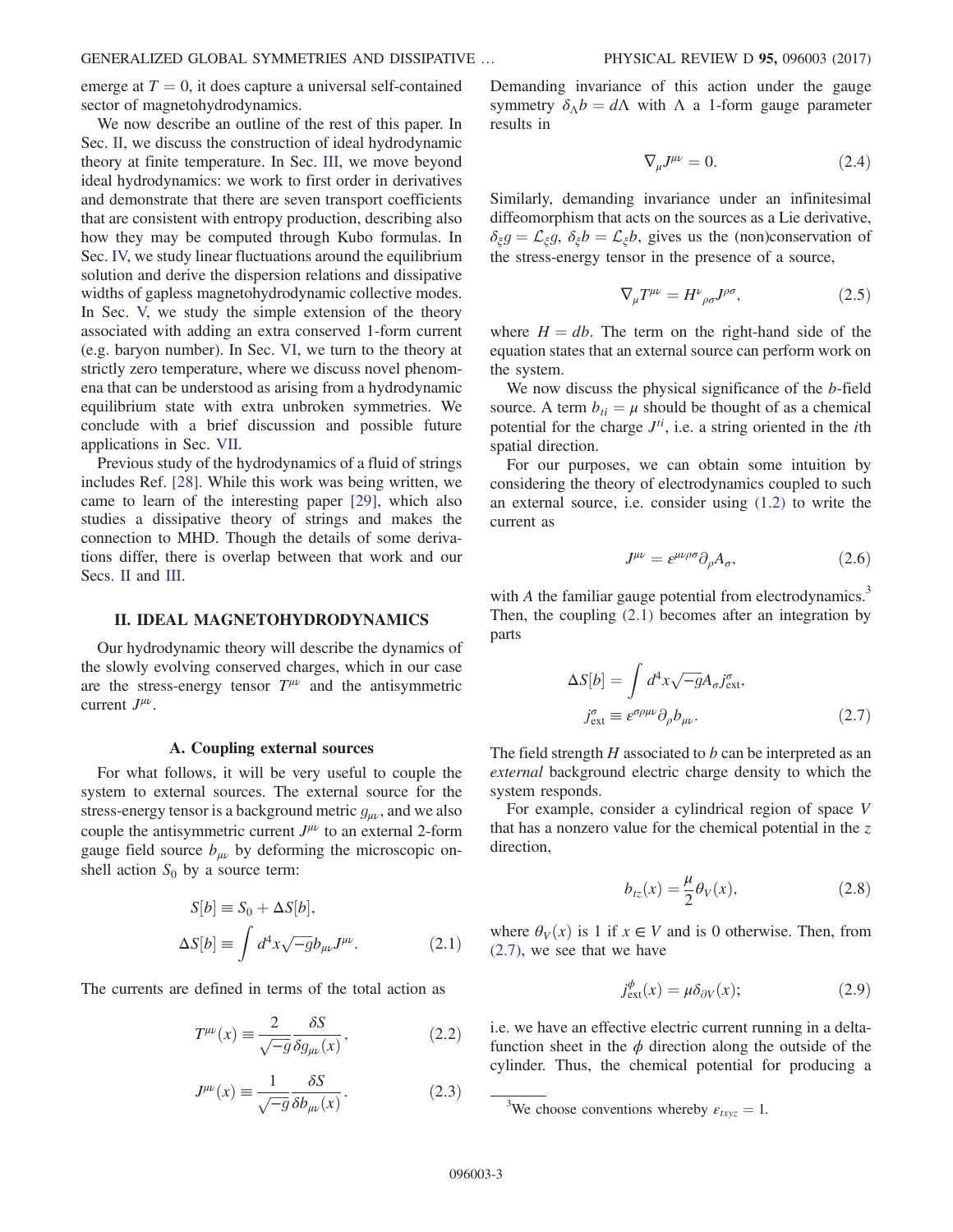emerge at  $T = 0$ , it does capture a universal self-contained sector of magnetohydrodynamics.

We now describe an outline of the rest of this paper. In Sec. [II](#page-3-0), we discuss the construction of ideal hydrodynamic theory at finite temperature. In Sec. [III,](#page-6-0) we move beyond ideal hydrodynamics: we work to first order in derivatives and demonstrate that there are seven transport coefficients that are consistent with entropy production, describing also how they may be computed through Kubo formulas. In Sec. [IV,](#page-9-0) we study linear fluctuations around the equilibrium solution and derive the dispersion relations and dissipative widths of gapless magnetohydrodynamic collective modes. In Sec. [V,](#page-13-0) we study the simple extension of the theory associated with adding an extra conserved 1-form current (e.g. baryon number). In Sec. [VI,](#page-13-1) we turn to the theory at strictly zero temperature, where we discuss novel phenomena that can be understood as arising from a hydrodynamic equilibrium state with extra unbroken symmetries. We conclude with a brief discussion and possible future applications in Sec. [VII](#page-18-0).

Previous study of the hydrodynamics of a fluid of strings includes Ref. [\[28\].](#page-22-5) While this work was being written, we came to learn of the interesting paper [\[29\]](#page-22-6), which also studies a dissipative theory of strings and makes the connection to MHD. Though the details of some derivations differ, there is overlap between that work and our Secs. [II](#page-3-0) and [III.](#page-6-0)

#### <span id="page-3-0"></span>II. IDEAL MAGNETOHYDRODYNAMICS

Our hydrodynamic theory will describe the dynamics of the slowly evolving conserved charges, which in our case are the stress-energy tensor  $T^{\mu\nu}$  and the antisymmetric current  $J^{\mu\nu}$ .

#### A. Coupling external sources

<span id="page-3-1"></span>For what follows, it will be very useful to couple the system to external sources. The external source for the stress-energy tensor is a background metric  $g_{\mu\nu}$ , and we also couple the antisymmetric current  $J^{\mu\nu}$  to an external 2-form gauge field source  $b_{\mu\nu}$  by deforming the microscopic onshell action  $S_0$  by a source term:

$$
S[b] \equiv S_0 + \Delta S[b],
$$
  
\n
$$
\Delta S[b] \equiv \int d^4x \sqrt{-g} b_{\mu\nu} J^{\mu\nu}.
$$
\n(2.1)

The currents are defined in terms of the total action as

$$
T^{\mu\nu}(x) \equiv \frac{2}{\sqrt{-g}} \frac{\delta S}{\delta g_{\mu\nu}(x)},\tag{2.2}
$$

$$
J^{\mu\nu}(x) \equiv \frac{1}{\sqrt{-g}} \frac{\delta S}{\delta b_{\mu\nu}(x)}.
$$
 (2.3)

<span id="page-3-5"></span>Demanding invariance of this action under the gauge symmetry  $\delta_{\Lambda}b = d\Lambda$  with  $\Lambda$  a 1-form gauge parameter results in

$$
\nabla_{\mu}J^{\mu\nu} = 0. \tag{2.4}
$$

<span id="page-3-4"></span>Similarly, demanding invariance under an infinitesimal diffeomorphism that acts on the sources as a Lie derivative,  $\delta_{\xi}g = \mathcal{L}_{\xi}g$ ,  $\delta_{\xi}b = \mathcal{L}_{\xi}b$ , gives us the (non)conservation of the stress-energy tensor in the presence of a source,

$$
\nabla_{\mu}T^{\mu\nu} = H^{\nu}{}_{\rho\sigma}J^{\rho\sigma},\tag{2.5}
$$

where  $H = db$ . The term on the right-hand side of the equation states that an external source can perform work on the system.

We now discuss the physical significance of the *b*-field source. A term  $b_{ti} = \mu$  should be thought of as a chemical potential for the charge  $J^{ti}$ , i.e. a string oriented in the *i*th spatial direction.

<span id="page-3-3"></span>For our purposes, we can obtain some intuition by considering the theory of electrodynamics coupled to such an external source, i.e. consider using [\(1.2\)](#page-1-4) to write the current as

$$
J^{\mu\nu} = \varepsilon^{\mu\nu\rho\sigma} \partial_{\rho} A_{\sigma}, \tag{2.6}
$$

<span id="page-3-2"></span>with  $A$  the familiar gauge potential from electrodynamics.<sup>3</sup> Then, the coupling  $(2.1)$  becomes after an integration by parts

$$
\Delta S[b] = \int d^4x \sqrt{-g} A_{\sigma} j^{\sigma}_{\text{ext}},
$$
  

$$
j^{\sigma}_{\text{ext}} \equiv \varepsilon^{\sigma \rho \mu \nu} \partial_{\rho} b_{\mu \nu}.
$$
 (2.7)

The field strength  $H$  associated to  $b$  can be interpreted as an external background electric charge density to which the system responds.

For example, consider a cylindrical region of space V that has a nonzero value for the chemical potential in the  $z$ direction,

$$
b_{tz}(x) = \frac{\mu}{2}\theta_V(x),\tag{2.8}
$$

where  $\theta_V(x)$  is 1 if  $x \in V$  and is 0 otherwise. Then, from [\(2.7\),](#page-3-2) we see that we have

$$
j_{\text{ext}}^{\phi}(x) = \mu \delta_{\partial V}(x); \tag{2.9}
$$

i.e. we have an effective electric current running in a deltafunction sheet in the  $\phi$  direction along the outside of the cylinder. Thus, the chemical potential for producing a

<sup>&</sup>lt;sup>3</sup>We choose conventions whereby  $\varepsilon_{txyz} = 1$ .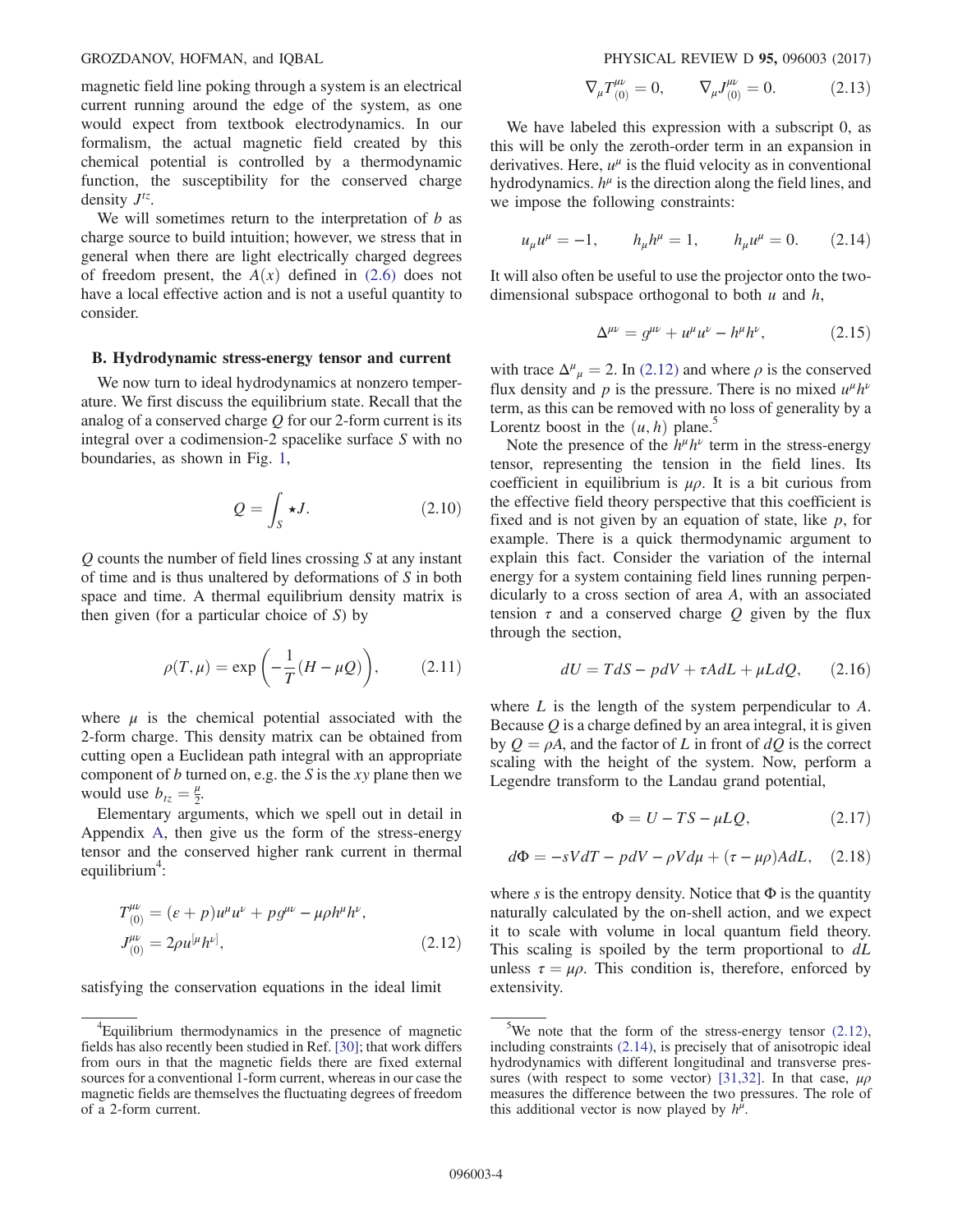magnetic field line poking through a system is an electrical current running around the edge of the system, as one would expect from textbook electrodynamics. In our formalism, the actual magnetic field created by this chemical potential is controlled by a thermodynamic function, the susceptibility for the conserved charge density  $J^{tz}$ .

We will sometimes return to the interpretation of  $b$  as charge source to build intuition; however, we stress that in general when there are light electrically charged degrees of freedom present, the  $A(x)$  defined in [\(2.6\)](#page-3-3) does not have a local effective action and is not a useful quantity to consider.

### B. Hydrodynamic stress-energy tensor and current

We now turn to ideal hydrodynamics at nonzero temperature. We first discuss the equilibrium state. Recall that the analog of a conserved charge  $O$  for our 2-form current is its integral over a codimension-2 spacelike surface S with no boundaries, as shown in Fig. [1](#page-2-0),

$$
Q = \int_{S} \star J. \tag{2.10}
$$

Q counts the number of field lines crossing S at any instant of time and is thus unaltered by deformations of S in both space and time. A thermal equilibrium density matrix is then given (for a particular choice of S) by

$$
\rho(T,\mu) = \exp\left(-\frac{1}{T}(H-\mu Q)\right),\tag{2.11}
$$

where  $\mu$  is the chemical potential associated with the 2-form charge. This density matrix can be obtained from cutting open a Euclidean path integral with an appropriate component of b turned on, e.g. the S is the xy plane then we would use  $b_{tz} = \frac{\mu}{2}$ .<br>Elementary arou

<span id="page-4-0"></span>Elementary arguments, which we spell out in detail in Appendix [A](#page-18-1), then give us the form of the stress-energy tensor and the conserved higher rank current in thermal equilibrium<sup>4</sup>:

$$
T^{\mu\nu}_{(0)} = (\varepsilon + p)u^{\mu}u^{\nu} + pg^{\mu\nu} - \mu\rho h^{\mu}h^{\nu},
$$
  
\n
$$
J^{\mu\nu}_{(0)} = 2\rho u^{[\mu}h^{\nu]},
$$
\n(2.12)

satisfying the conservation equations in the ideal limit

$$
\nabla_{\mu} T^{\mu\nu}_{(0)} = 0, \qquad \nabla_{\mu} J^{\mu\nu}_{(0)} = 0. \tag{2.13}
$$

We have labeled this expression with a subscript 0, as this will be only the zeroth-order term in an expansion in derivatives. Here,  $u^{\mu}$  is the fluid velocity as in conventional hydrodynamics.  $h^{\mu}$  is the direction along the field lines, and we impose the following constraints:

<span id="page-4-1"></span>
$$
u_{\mu}u^{\mu} = -1, \qquad h_{\mu}h^{\mu} = 1, \qquad h_{\mu}u^{\mu} = 0. \tag{2.14}
$$

<span id="page-4-2"></span>It will also often be useful to use the projector onto the twodimensional subspace orthogonal to both  $u$  and  $h$ ,

$$
\Delta^{\mu\nu} = g^{\mu\nu} + u^{\mu}u^{\nu} - h^{\mu}h^{\nu}, \qquad (2.15)
$$

with trace  $\Delta^{\mu}_{\mu} = 2$ . In [\(2.12\)](#page-4-0) and where  $\rho$  is the conserved<br>flux density and n is the pressure. There is no mixed  $\nu^{\mu}b^{\nu}$ flux density and p is the pressure. There is no mixed  $u^{\mu}h^{\nu}$ term, as this can be removed with no loss of generality by a Lorentz boost in the  $(u, h)$  plane.<sup>5</sup>

Note the presence of the  $h^{\mu}h^{\nu}$  term in the stress-energy tensor, representing the tension in the field lines. Its coefficient in equilibrium is  $\mu \rho$ . It is a bit curious from the effective field theory perspective that this coefficient is fixed and is not given by an equation of state, like  $p$ , for example. There is a quick thermodynamic argument to explain this fact. Consider the variation of the internal energy for a system containing field lines running perpendicularly to a cross section of area A, with an associated tension  $\tau$  and a conserved charge Q given by the flux through the section,

$$
dU = TdS - pdV + \tau AdL + \mu LdQ, \qquad (2.16)
$$

where L is the length of the system perpendicular to A. Because  $Q$  is a charge defined by an area integral, it is given by  $Q = \rho A$ , and the factor of L in front of  $dQ$  is the correct scaling with the height of the system. Now, perform a Legendre transform to the Landau grand potential,

$$
\Phi = U - TS - \mu LQ, \qquad (2.17)
$$

$$
d\Phi = -sVdT - pdV - \rho Vd\mu + (\tau - \mu \rho)A dL, \quad (2.18)
$$

where s is the entropy density. Notice that  $\Phi$  is the quantity naturally calculated by the on-shell action, and we expect it to scale with volume in local quantum field theory. This scaling is spoiled by the term proportional to  $dL$ unless  $\tau = \mu \rho$ . This condition is, therefore, enforced by extensivity.

<sup>4</sup> Equilibrium thermodynamics in the presence of magnetic fields has also recently been studied in Ref. [\[30\];](#page-22-7) that work differs from ours in that the magnetic fields there are fixed external sources for a conventional 1-form current, whereas in our case the magnetic fields are themselves the fluctuating degrees of freedom of a 2-form current.

<sup>&</sup>lt;sup>5</sup>We note that the form of the stress-energy tensor  $(2.12)$ , including constraints [\(2.14\),](#page-4-1) is precisely that of anisotropic ideal hydrodynamics with different longitudinal and transverse pres-sures (with respect to some vector) [\[31,32\]](#page-22-8). In that case,  $\mu \rho$ measures the difference between the two pressures. The role of this additional vector is now played by  $h^{\hat{\mu}}$ .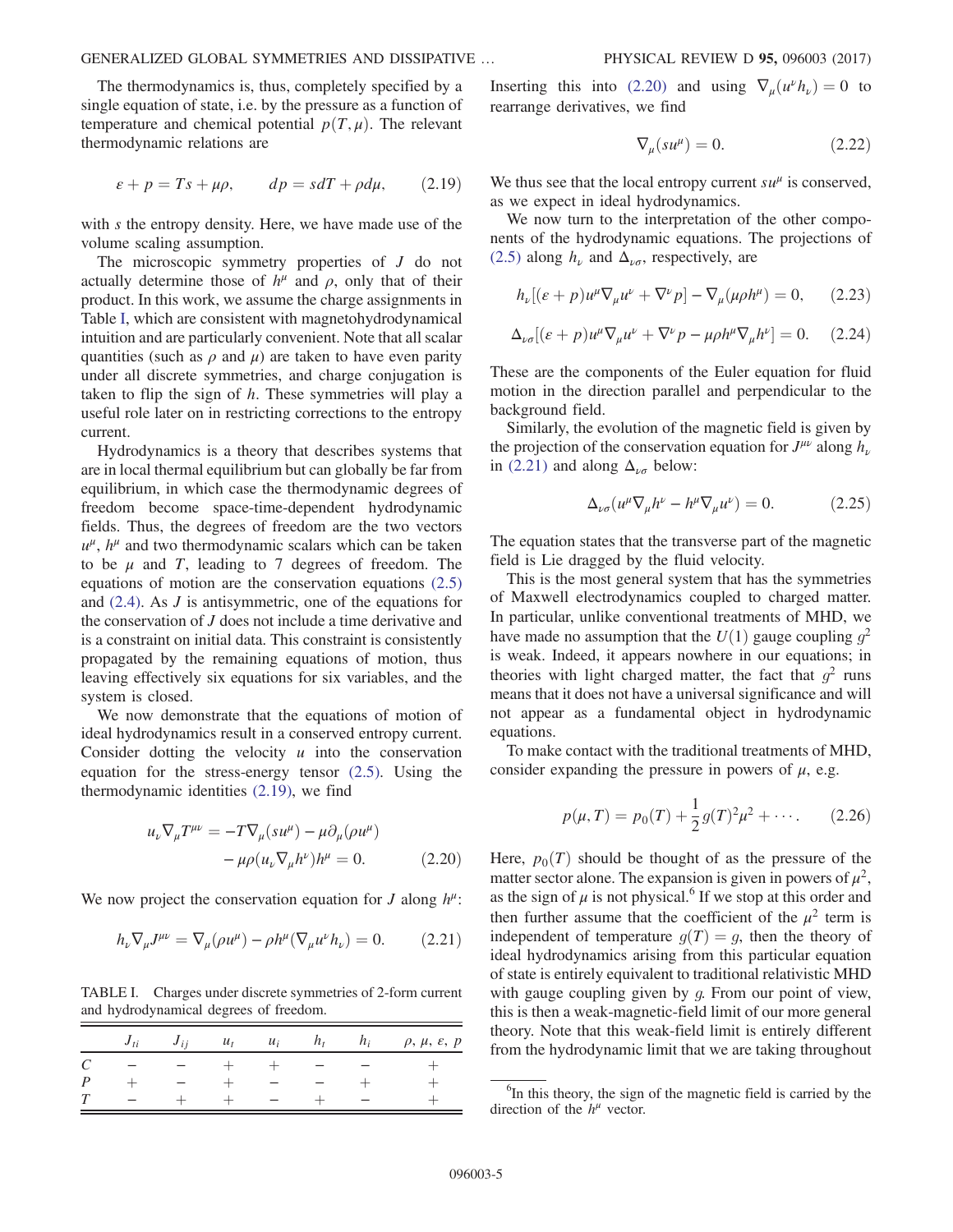<span id="page-5-1"></span>The thermodynamics is, thus, completely specified by a single equation of state, i.e. by the pressure as a function of temperature and chemical potential  $p(T, \mu)$ . The relevant thermodynamic relations are

$$
\varepsilon + p = Ts + \mu \rho, \qquad dp = s dT + \rho d\mu, \qquad (2.19)
$$

with s the entropy density. Here, we have made use of the volume scaling assumption.

The microscopic symmetry properties of J do not actually determine those of  $h^{\mu}$  and  $\rho$ , only that of their product. In this work, we assume the charge assignments in Table [I,](#page-5-0) which are consistent with magnetohydrodynamical intuition and are particularly convenient. Note that all scalar quantities (such as  $\rho$  and  $\mu$ ) are taken to have even parity under all discrete symmetries, and charge conjugation is taken to flip the sign of  $h$ . These symmetries will play a useful role later on in restricting corrections to the entropy current.

Hydrodynamics is a theory that describes systems that are in local thermal equilibrium but can globally be far from equilibrium, in which case the thermodynamic degrees of freedom become space-time-dependent hydrodynamic fields. Thus, the degrees of freedom are the two vectors  $u^{\mu}$ ,  $h^{\mu}$  and two thermodynamic scalars which can be taken to be  $\mu$  and T, leading to 7 degrees of freedom. The equations of motion are the conservation equations [\(2.5\)](#page-3-4) and [\(2.4\)](#page-3-5). As J is antisymmetric, one of the equations for the conservation of J does not include a time derivative and is a constraint on initial data. This constraint is consistently propagated by the remaining equations of motion, thus leaving effectively six equations for six variables, and the system is closed.

<span id="page-5-2"></span>We now demonstrate that the equations of motion of ideal hydrodynamics result in a conserved entropy current. Consider dotting the velocity  $u$  into the conservation equation for the stress-energy tensor [\(2.5\)](#page-3-4). Using the thermodynamic identities [\(2.19\)](#page-5-1), we find

$$
u_{\nu} \nabla_{\mu} T^{\mu \nu} = -T \nabla_{\mu} (s u^{\mu}) - \mu \partial_{\mu} (\rho u^{\mu})
$$

$$
- \mu \rho (u_{\nu} \nabla_{\mu} h^{\nu}) h^{\mu} = 0. \qquad (2.20)
$$

<span id="page-5-3"></span>We now project the conservation equation for J along  $h^{\mu}$ :

$$
h_{\nu} \nabla_{\mu} J^{\mu \nu} = \nabla_{\mu} (\rho u^{\mu}) - \rho h^{\mu} (\nabla_{\mu} u^{\nu} h_{\nu}) = 0. \quad (2.21)
$$

<span id="page-5-0"></span>TABLE I. Charges under discrete symmetries of 2-form current and hydrodynamical degrees of freedom.

|   |  |  |  | $J_{ti}$ $J_{ij}$ $u_t$ $u_i$ $h_t$ $h_i$ $\rho, \mu, \varepsilon, p$ |
|---|--|--|--|-----------------------------------------------------------------------|
| C |  |  |  |                                                                       |
|   |  |  |  |                                                                       |
|   |  |  |  |                                                                       |

Inserting this into [\(2.20\)](#page-5-2) and using  $\nabla_u(u^{\nu}h_{\nu})=0$  to rearrange derivatives, we find

$$
\nabla_{\mu}(su^{\mu}) = 0. \qquad (2.22)
$$

We thus see that the local entropy current  $su^{\mu}$  is conserved, as we expect in ideal hydrodynamics.

We now turn to the interpretation of the other components of the hydrodynamic equations. The projections of [\(2.5\)](#page-3-4) along  $h_{\nu}$  and  $\Delta_{\nu\sigma}$ , respectively, are

$$
h_{\nu}[(\varepsilon + p)u^{\mu}\nabla_{\mu}u^{\nu} + \nabla^{\nu}p] - \nabla_{\mu}(\mu\rho h^{\mu}) = 0, \qquad (2.23)
$$

$$
\Delta_{\nu\sigma}[(\varepsilon + p)u^{\mu}\nabla_{\mu}u^{\nu} + \nabla^{\nu}p - \mu\rho h^{\mu}\nabla_{\mu}h^{\nu}] = 0. \quad (2.24)
$$

These are the components of the Euler equation for fluid motion in the direction parallel and perpendicular to the background field.

Similarly, the evolution of the magnetic field is given by the projection of the conservation equation for  $J^{\mu\nu}$  along  $h_{\nu}$ in [\(2.21\)](#page-5-3) and along  $\Delta_{\nu\sigma}$  below:

$$
\Delta_{\nu\sigma}(u^{\mu}\nabla_{\mu}h^{\nu} - h^{\mu}\nabla_{\mu}u^{\nu}) = 0. \qquad (2.25)
$$

The equation states that the transverse part of the magnetic field is Lie dragged by the fluid velocity.

This is the most general system that has the symmetries of Maxwell electrodynamics coupled to charged matter. In particular, unlike conventional treatments of MHD, we have made no assumption that the  $U(1)$  gauge coupling  $q^2$ is weak. Indeed, it appears nowhere in our equations; in theories with light charged matter, the fact that  $q^2$  runs means that it does not have a universal significance and will not appear as a fundamental object in hydrodynamic equations.

<span id="page-5-4"></span>To make contact with the traditional treatments of MHD, consider expanding the pressure in powers of  $\mu$ , e.g.

$$
p(\mu, T) = p_0(T) + \frac{1}{2}g(T)^2\mu^2 + \cdots. \qquad (2.26)
$$

Here,  $p_0(T)$  should be thought of as the pressure of the matter sector alone. The expansion is given in powers of  $\mu^2$ , as the sign of  $\mu$  is not physical.<sup>6</sup> If we stop at this order and then further assume that the coefficient of the  $\mu^2$  term is independent of temperature  $q(T) = q$ , then the theory of ideal hydrodynamics arising from this particular equation of state is entirely equivalent to traditional relativistic MHD with gauge coupling given by q. From our point of view, this is then a weak-magnetic-field limit of our more general theory. Note that this weak-field limit is entirely different from the hydrodynamic limit that we are taking throughout

 ${}^{6}$ In this theory, the sign of the magnetic field is carried by the direction of the  $h^{\mu}$  vector.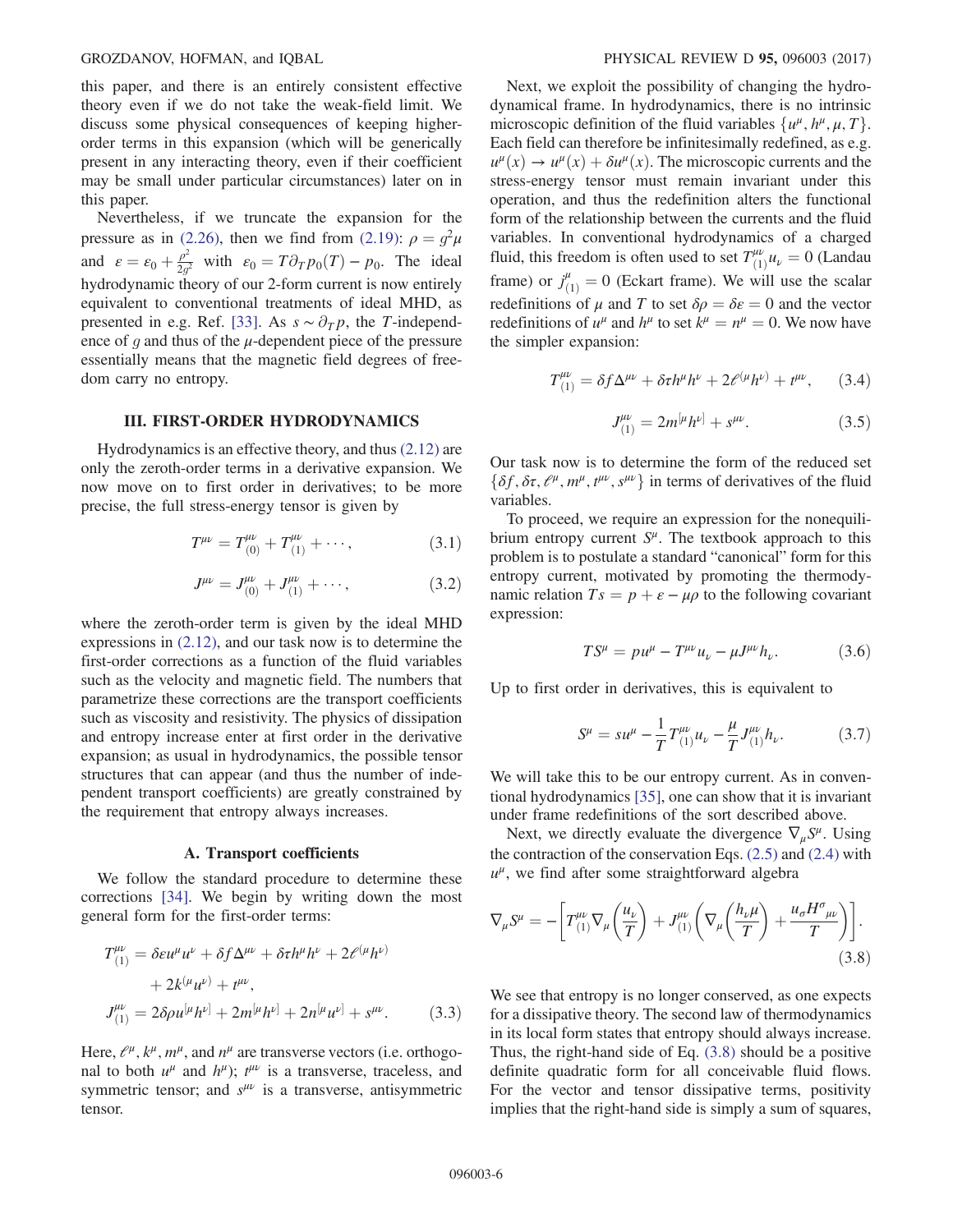this paper, and there is an entirely consistent effective theory even if we do not take the weak-field limit. We discuss some physical consequences of keeping higherorder terms in this expansion (which will be generically present in any interacting theory, even if their coefficient may be small under particular circumstances) later on in this paper.

Nevertheless, if we truncate the expansion for the pressure as in [\(2.26\),](#page-5-4) then we find from [\(2.19\)](#page-5-1):  $\rho = g^2 \mu$ and  $\varepsilon = \varepsilon_0 + \frac{\rho^2}{2g^2}$  with  $\varepsilon_0 = T \partial_T p_0(T) - p_0$ . The ideal hydrodynamic theory of our 2-form current is now entirely equivalent to conventional treatments of ideal MHD, as presented in e.g. Ref. [\[33\].](#page-22-9) As  $s \sim \partial_T p$ , the T-independence of  $g$  and thus of the  $\mu$ -dependent piece of the pressure essentially means that the magnetic field degrees of freedom carry no entropy.

## <span id="page-6-0"></span>III. FIRST-ORDER HYDRODYNAMICS

Hydrodynamics is an effective theory, and thus [\(2.12\)](#page-4-0) are only the zeroth-order terms in a derivative expansion. We now move on to first order in derivatives; to be more precise, the full stress-energy tensor is given by

$$
T^{\mu\nu} = T^{\mu\nu}_{(0)} + T^{\mu\nu}_{(1)} + \cdots, \qquad (3.1)
$$

$$
J^{\mu\nu} = J^{\mu\nu}_{(0)} + J^{\mu\nu}_{(1)} + \cdots, \qquad (3.2)
$$

where the zeroth-order term is given by the ideal MHD expressions in [\(2.12\)](#page-4-0), and our task now is to determine the first-order corrections as a function of the fluid variables such as the velocity and magnetic field. The numbers that parametrize these corrections are the transport coefficients such as viscosity and resistivity. The physics of dissipation and entropy increase enter at first order in the derivative expansion; as usual in hydrodynamics, the possible tensor structures that can appear (and thus the number of independent transport coefficients) are greatly constrained by the requirement that entropy always increases.

#### A. Transport coefficients

<span id="page-6-3"></span>We follow the standard procedure to determine these corrections [\[34\].](#page-22-10) We begin by writing down the most general form for the first-order terms:

$$
T_{(1)}^{\mu\nu} = \delta \varepsilon u^{\mu} u^{\nu} + \delta f \Delta^{\mu\nu} + \delta \tau h^{\mu} h^{\nu} + 2 \ell^{(\mu} h^{\nu)} + 2k^{(\mu} u^{\nu)} + t^{\mu\nu},
$$
  

$$
J_{(1)}^{\mu\nu} = 2\delta \rho u^{[\mu} h^{\nu]} + 2m^{[\mu} h^{\nu]} + 2n^{[\mu} u^{\nu]} + s^{\mu\nu}. \tag{3.3}
$$

Here,  $\ell^{\mu}$ ,  $k^{\mu}$ ,  $m^{\mu}$ , and  $n^{\mu}$  are transverse vectors (i.e. orthogonal to both  $u^{\mu}$  and  $h^{\mu}$ );  $t^{\mu\nu}$  is a transverse, traceless, and symmetric tensor; and  $s^{\mu\nu}$  is a transverse, antisymmetric tensor.

Next, we exploit the possibility of changing the hydrodynamical frame. In hydrodynamics, there is no intrinsic microscopic definition of the fluid variables  $\{u^{\mu}, h^{\mu}, \mu, T\}.$ Each field can therefore be infinitesimally redefined, as e.g.  $u^{\mu}(x) \rightarrow u^{\mu}(x) + \delta u^{\mu}(x)$ . The microscopic currents and the stress-energy tensor must remain invariant under this operation, and thus the redefinition alters the functional form of the relationship between the currents and the fluid variables. In conventional hydrodynamics of a charged fluid, this freedom is often used to set  $T_{(1)}^{\mu\nu}u_{\nu} = 0$  (Landau frame) or  $j^{\mu}_{(1)} = 0$  (Eckart frame). We will use the scalar redeficitions of weard T to set  $S_0 = S_0 = 0$  and the vector redefinitions of  $\mu$  and T to set  $\delta \rho = \delta \varepsilon = 0$  and the vector redefinitions of  $u^{\mu}$  and  $h^{\mu}$  to set  $k^{\mu} = n^{\mu} = 0$ . We now have the simpler expansion:

$$
T_{(1)}^{\mu\nu} = \delta f \Delta^{\mu\nu} + \delta \tau h^{\mu} h^{\nu} + 2 \ell^{(\mu} h^{\nu)} + t^{\mu\nu}, \qquad (3.4)
$$

$$
J_{(1)}^{\mu\nu} = 2m^{[\mu}h^{\nu]} + s^{\mu\nu}.
$$
 (3.5)

<span id="page-6-4"></span>Our task now is to determine the form of the reduced set  $\{\delta f, \delta \tau, \ell^{\mu}, m^{\mu}, t^{\mu\nu}, s^{\mu\nu}\}\$  in terms of derivatives of the fluid variables.

To proceed, we require an expression for the nonequilibrium entropy current  $S^{\mu}$ . The textbook approach to this problem is to postulate a standard "canonical" form for this entropy current, motivated by promoting the thermodynamic relation  $Ts = p + \varepsilon - \mu \rho$  to the following covariant expression:

$$
TS^{\mu} = pu^{\mu} - T^{\mu\nu}u_{\nu} - \mu J^{\mu\nu}h_{\nu}.
$$
 (3.6)

<span id="page-6-2"></span>Up to first order in derivatives, this is equivalent to

$$
S^{\mu} = s u^{\mu} - \frac{1}{T} T^{\mu\nu}_{(1)} u_{\nu} - \frac{\mu}{T} J^{\mu\nu}_{(1)} h_{\nu}.
$$
 (3.7)

We will take this to be our entropy current. As in conventional hydrodynamics [\[35\],](#page-22-11) one can show that it is invariant under frame redefinitions of the sort described above.

<span id="page-6-1"></span>Next, we directly evaluate the divergence  $\nabla_{\mu}S^{\mu}$ . Using the contraction of the conservation Eqs.  $(2.5)$  and  $(2.4)$  with  $u^{\mu}$ , we find after some straightforward algebra

$$
\nabla_{\mu} S^{\mu} = -\bigg[ T^{\mu\nu}_{(1)} \nabla_{\mu} \bigg( \frac{u_{\nu}}{T} \bigg) + J^{\mu\nu}_{(1)} \bigg( \nabla_{\mu} \bigg( \frac{h_{\nu} \mu}{T} \bigg) + \frac{u_{\sigma} H^{\sigma}_{\mu\nu}}{T} \bigg) \bigg].
$$
\n(3.8)

We see that entropy is no longer conserved, as one expects for a dissipative theory. The second law of thermodynamics in its local form states that entropy should always increase. Thus, the right-hand side of Eq. [\(3.8\)](#page-6-1) should be a positive definite quadratic form for all conceivable fluid flows. For the vector and tensor dissipative terms, positivity implies that the right-hand side is simply a sum of squares,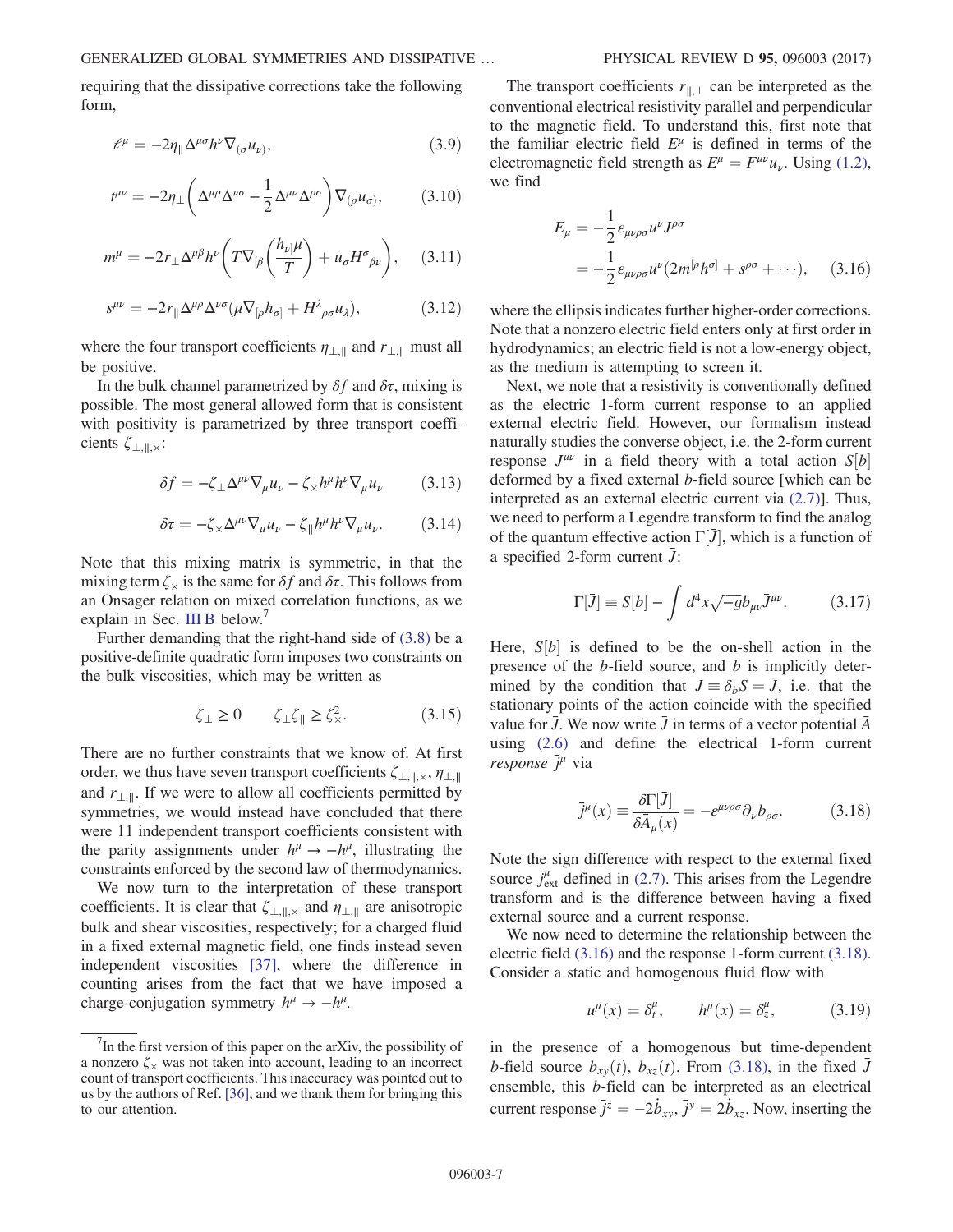<span id="page-7-5"></span>requiring that the dissipative corrections take the following form,

$$
\ell^{\mu} = -2\eta_{\parallel} \Delta^{\mu\sigma} h^{\nu} \nabla_{(\sigma} u_{\nu)},\tag{3.9}
$$

$$
t^{\mu\nu} = -2\eta_{\perp} \left( \Delta^{\mu\rho} \Delta^{\nu\sigma} - \frac{1}{2} \Delta^{\mu\nu} \Delta^{\rho\sigma} \right) \nabla_{(\rho} u_{\sigma)},\tag{3.10}
$$

<span id="page-7-2"></span>
$$
m^{\mu} = -2r_{\perp} \Delta^{\mu\beta} h^{\nu} \left( T \nabla_{\beta} \left( \frac{h_{\nu} \mu}{T} \right) + u_{\sigma} H^{\sigma}{}_{\beta\nu} \right), \quad (3.11)
$$

<span id="page-7-3"></span>
$$
s^{\mu\nu} = -2r_{\parallel} \Delta^{\mu\rho} \Delta^{\nu\sigma} (\mu \nabla_{[\rho} h_{\sigma]} + H^{\lambda}{}_{\rho\sigma} u_{\lambda}), \tag{3.12}
$$

where the four transport coefficients  $\eta_{\perp,\parallel}$  and  $r_{\perp,\parallel}$  must all be positive.

<span id="page-7-7"></span>In the bulk channel parametrized by  $\delta f$  and  $\delta \tau$ , mixing is possible. The most general allowed form that is consistent with positivity is parametrized by three transport coefficients  $\zeta_{\perp,\parallel,\times}$ :

$$
\delta f = -\zeta_{\perp} \Delta^{\mu\nu} \nabla_{\mu} u_{\nu} - \zeta_{\times} h^{\mu} h^{\nu} \nabla_{\mu} u_{\nu}
$$
 (3.13)

$$
\delta \tau = -\zeta_{\times} \Delta^{\mu \nu} \nabla_{\mu} u_{\nu} - \zeta_{\parallel} h^{\mu} h^{\nu} \nabla_{\mu} u_{\nu}.
$$
 (3.14)

<span id="page-7-6"></span>Note that this mixing matrix is symmetric, in that the mixing term  $\zeta_{\times}$  is the same for  $\delta f$  and  $\delta \tau$ . This follows from an Onsager relation on mixed correlation functions, as we explain in Sec. [III B](#page-8-0) below.<sup>7</sup>

Further demanding that the right-hand side of [\(3.8\)](#page-6-1) be a positive-definite quadratic form imposes two constraints on the bulk viscosities, which may be written as

$$
\zeta_{\perp} \ge 0 \qquad \zeta_{\perp} \zeta_{\parallel} \ge \zeta_{\times}^2. \tag{3.15}
$$

There are no further constraints that we know of. At first order, we thus have seven transport coefficients  $\zeta_{\perp,\parallel,\times}, \eta_{\perp,\parallel}$ and  $r_{\perp,\parallel}$ . If we were to allow all coefficients permitted by symmetries, we would instead have concluded that there were 11 independent transport coefficients consistent with the parity assignments under  $h^{\mu} \rightarrow -h^{\mu}$ , illustrating the constraints enforced by the second law of thermodynamics.

We now turn to the interpretation of these transport coefficients. It is clear that  $\zeta_{\perp,\parallel,\times}$  and  $\eta_{\perp,\parallel}$  are anisotropic bulk and shear viscosities, respectively; for a charged fluid in a fixed external magnetic field, one finds instead seven independent viscosities [\[37\],](#page-22-12) where the difference in counting arises from the fact that we have imposed a charge-conjugation symmetry  $h^{\mu} \rightarrow -h^{\mu}$ .

The transport coefficients  $r_{\parallel\perp}$  can be interpreted as the conventional electrical resistivity parallel and perpendicular to the magnetic field. To understand this, first note that the familiar electric field  $E^{\mu}$  is defined in terms of the electromagnetic field strength as  $E^{\mu} = F^{\mu\nu}u_{\nu}$ . Using [\(1.2\)](#page-1-4), we find

<span id="page-7-0"></span>
$$
E_{\mu} = -\frac{1}{2} \varepsilon_{\mu\nu\rho\sigma} u^{\nu} J^{\rho\sigma}
$$
  
=  $-\frac{1}{2} \varepsilon_{\mu\nu\rho\sigma} u^{\nu} (2m^{\rho} h^{\sigma} + s^{\rho\sigma} + \cdots),$  (3.16)

where the ellipsis indicates further higher-order corrections. Note that a nonzero electric field enters only at first order in hydrodynamics; an electric field is not a low-energy object, as the medium is attempting to screen it.

Next, we note that a resistivity is conventionally defined as the electric 1-form current response to an applied external electric field. However, our formalism instead naturally studies the converse object, i.e. the 2-form current response  $J^{\mu\nu}$  in a field theory with a total action  $S[b]$ -<br>deformed by a fixed external b-field source [which can be deformed by a fixed external b-field source [which can be interpreted as an external electric current via [\(2.7\)](#page-3-2)]. Thus, we need to perform a Legendre transform to find the analog of the quantum effective action  $\Gamma[\bar{J}]$ , which is a function of a specified 2-form current  $\bar{J}$ . a specified 2-form current  $\bar{J}$ :

$$
\Gamma[\bar{J}] \equiv S[b] - \int d^4x \sqrt{-g} b_{\mu\nu} \bar{J}^{\mu\nu}.
$$
 (3.17)

Here,  $S[b]$  is defined to be the on-shell action in the presence of the *b*-field source and *b* is implicitly deterpresence of the  $b$ -field source, and  $b$  is implicitly determined by the condition that  $J = \delta_b S = \overline{J}$ , i.e. that the stationary points of the action coincide with the specified value for  $\bar{J}$ . We now write  $\bar{J}$  in terms of a vector potential  $\bar{A}$ using [\(2.6\)](#page-3-3) and define the electrical 1-form current  $response \; \bar{j}^{\mu}$  via

<span id="page-7-1"></span>
$$
\bar{j}^{\mu}(x) \equiv \frac{\delta \Gamma[\bar{J}]}{\delta \bar{A}_{\mu}(x)} = -\varepsilon^{\mu\nu\rho\sigma} \partial_{\nu} b_{\rho\sigma}.
$$
 (3.18)

Note the sign difference with respect to the external fixed source  $j_{\text{ext}}^{\mu}$  defined in [\(2.7\).](#page-3-2) This arises from the Legendre transform and is the difference between having a fixed external source and a current response.

<span id="page-7-4"></span>We now need to determine the relationship between the electric field [\(3.16\)](#page-7-0) and the response 1-form current [\(3.18\)](#page-7-1). Consider a static and homogenous fluid flow with

$$
u^{\mu}(x) = \delta_t^{\mu}, \qquad h^{\mu}(x) = \delta_z^{\mu}, \tag{3.19}
$$

in the presence of a homogenous but time-dependent b-field source  $b_{xy}(t)$ ,  $b_{xz}(t)$ . From [\(3.18\)](#page-7-1), in the fixed  $\bar{J}$ ensemble, this b-field can be interpreted as an electrical current response  $\bar{j}^z = -2\dot{b}_{xy}$ ,  $\bar{j}^y = 2\dot{b}_{xz}$ . Now, inserting the

 $^{7}$ In the first version of this paper on the arXiv, the possibility of a nonzero  $\zeta_{\times}$  was not taken into account, leading to an incorrect count of transport coefficients. This inaccuracy was pointed out to us by the authors of Ref. [\[36\]](#page-22-13), and we thank them for bringing this to our attention.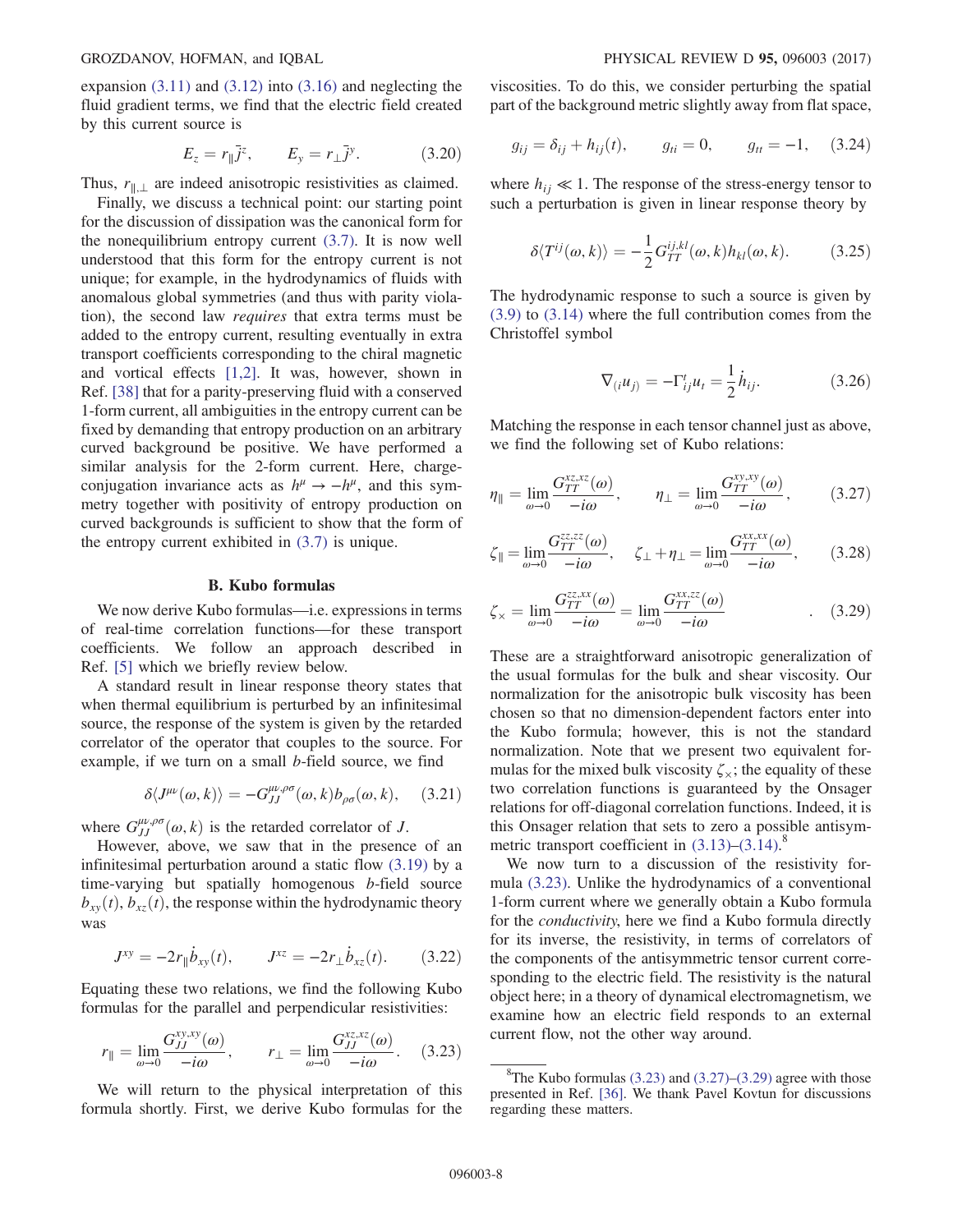expansion  $(3.11)$  and  $(3.12)$  into  $(3.16)$  and neglecting the fluid gradient terms, we find that the electric field created by this current source is

$$
E_z = r_{\parallel} \bar{j}^z, \qquad E_y = r_{\perp} \bar{j}^y. \tag{3.20}
$$

Thus,  $r_{\parallel\perp}$  are indeed anisotropic resistivities as claimed.

Finally, we discuss a technical point: our starting point for the discussion of dissipation was the canonical form for the nonequilibrium entropy current [\(3.7\).](#page-6-2) It is now well understood that this form for the entropy current is not unique; for example, in the hydrodynamics of fluids with anomalous global symmetries (and thus with parity violation), the second law requires that extra terms must be added to the entropy current, resulting eventually in extra transport coefficients corresponding to the chiral magnetic and vortical effects [\[1,2\].](#page-21-0) It was, however, shown in Ref. [\[38\]](#page-22-14) that for a parity-preserving fluid with a conserved 1-form current, all ambiguities in the entropy current can be fixed by demanding that entropy production on an arbitrary curved background be positive. We have performed a similar analysis for the 2-form current. Here, chargeconjugation invariance acts as  $h^{\mu} \rightarrow -h^{\mu}$ , and this symmetry together with positivity of entropy production on curved backgrounds is sufficient to show that the form of the entropy current exhibited in [\(3.7\)](#page-6-2) is unique.

#### B. Kubo formulas

<span id="page-8-0"></span>We now derive Kubo formulas—i.e. expressions in terms of real-time correlation functions—for these transport coefficients. We follow an approach described in Ref. [\[5\]](#page-21-3) which we briefly review below.

A standard result in linear response theory states that when thermal equilibrium is perturbed by an infinitesimal source, the response of the system is given by the retarded correlator of the operator that couples to the source. For example, if we turn on a small b-field source, we find

$$
\delta \langle J^{\mu\nu}(\omega, k) \rangle = -G^{\mu\nu, \rho\sigma}_{JJ}(\omega, k) b_{\rho\sigma}(\omega, k), \quad (3.21)
$$

where  $G_{JJ}^{\mu\nu,\rho\sigma}(\omega, k)$  is the retarded correlator of *J*.<br>However, above, we saw that in the presence

However, above, we saw that in the presence of an infinitesimal perturbation around a static flow [\(3.19\)](#page-7-4) by a time-varying but spatially homogenous b-field source  $b_{xy}(t)$ ,  $b_{xz}(t)$ , the response within the hydrodynamic theory was

$$
J^{xy} = -2r_{\parallel} \dot{b}_{xy}(t), \qquad J^{xz} = -2r_{\perp} \dot{b}_{xz}(t). \qquad (3.22)
$$

<span id="page-8-1"></span>Equating these two relations, we find the following Kubo formulas for the parallel and perpendicular resistivities:

$$
r_{\parallel} = \lim_{\omega \to 0} \frac{G_{JJ}^{xy,xy}(\omega)}{-i\omega}, \qquad r_{\perp} = \lim_{\omega \to 0} \frac{G_{JJ}^{xz,xz}(\omega)}{-i\omega}.
$$
 (3.23)

We will return to the physical interpretation of this formula shortly. First, we derive Kubo formulas for the viscosities. To do this, we consider perturbing the spatial part of the background metric slightly away from flat space,

$$
g_{ij} = \delta_{ij} + h_{ij}(t), \qquad g_{ti} = 0, \qquad g_{tt} = -1, \quad (3.24)
$$

where  $h_{ij} \ll 1$ . The response of the stress-energy tensor to such a perturbation is given in linear response theory by

$$
\delta \langle T^{ij}(\omega, k) \rangle = -\frac{1}{2} G_{TT}^{ij,kl}(\omega, k) h_{kl}(\omega, k). \tag{3.25}
$$

The hydrodynamic response to such a source is given by [\(3.9\)](#page-7-5) to [\(3.14\)](#page-7-6) where the full contribution comes from the Christoffel symbol

$$
\nabla_{(i}u_{j)} = -\Gamma^{t}_{ij}u_{t} = \frac{1}{2}\dot{h}_{ij}.
$$
 (3.26)

<span id="page-8-2"></span>Matching the response in each tensor channel just as above, we find the following set of Kubo relations:

$$
\eta_{\parallel} = \lim_{\omega \to 0} \frac{G_{TT}^{xz,xz}(\omega)}{-i\omega}, \qquad \eta_{\perp} = \lim_{\omega \to 0} \frac{G_{TT}^{xy,xy}(\omega)}{-i\omega}, \qquad (3.27)
$$

<span id="page-8-3"></span>
$$
\zeta_{\parallel} = \lim_{\omega \to 0} \frac{G_{TT}^{zz,zz}(\omega)}{-i\omega}, \quad \zeta_{\perp} + \eta_{\perp} = \lim_{\omega \to 0} \frac{G_{TT}^{xx,xx}(\omega)}{-i\omega}, \quad (3.28)
$$

$$
\zeta_{\times} = \lim_{\omega \to 0} \frac{G_{TT}^{zz,xx}(\omega)}{-i\omega} = \lim_{\omega \to 0} \frac{G_{TT}^{xx,zz}(\omega)}{-i\omega} \tag{3.29}
$$

These are a straightforward anisotropic generalization of the usual formulas for the bulk and shear viscosity. Our normalization for the anisotropic bulk viscosity has been chosen so that no dimension-dependent factors enter into the Kubo formula; however, this is not the standard normalization. Note that we present two equivalent formulas for the mixed bulk viscosity  $\zeta_{\times}$ ; the equality of these two correlation functions is guaranteed by the Onsager relations for off-diagonal correlation functions. Indeed, it is this Onsager relation that sets to zero a possible antisymmetric transport coefficient in  $(3.13)$ – $(3.14)$ .

We now turn to a discussion of the resistivity formula [\(3.23\)](#page-8-1). Unlike the hydrodynamics of a conventional 1-form current where we generally obtain a Kubo formula for the conductivity, here we find a Kubo formula directly for its inverse, the resistivity, in terms of correlators of the components of the antisymmetric tensor current corresponding to the electric field. The resistivity is the natural object here; in a theory of dynamical electromagnetism, we examine how an electric field responds to an external current flow, not the other way around.

<sup>&</sup>lt;sup>8</sup>The Kubo formulas [\(3.23\)](#page-8-1) and [\(3.27\)](#page-8-2)–[\(3.29\)](#page-8-3) agree with those presented in Ref. [\[36\].](#page-22-13) We thank Pavel Kovtun for discussions regarding these matters.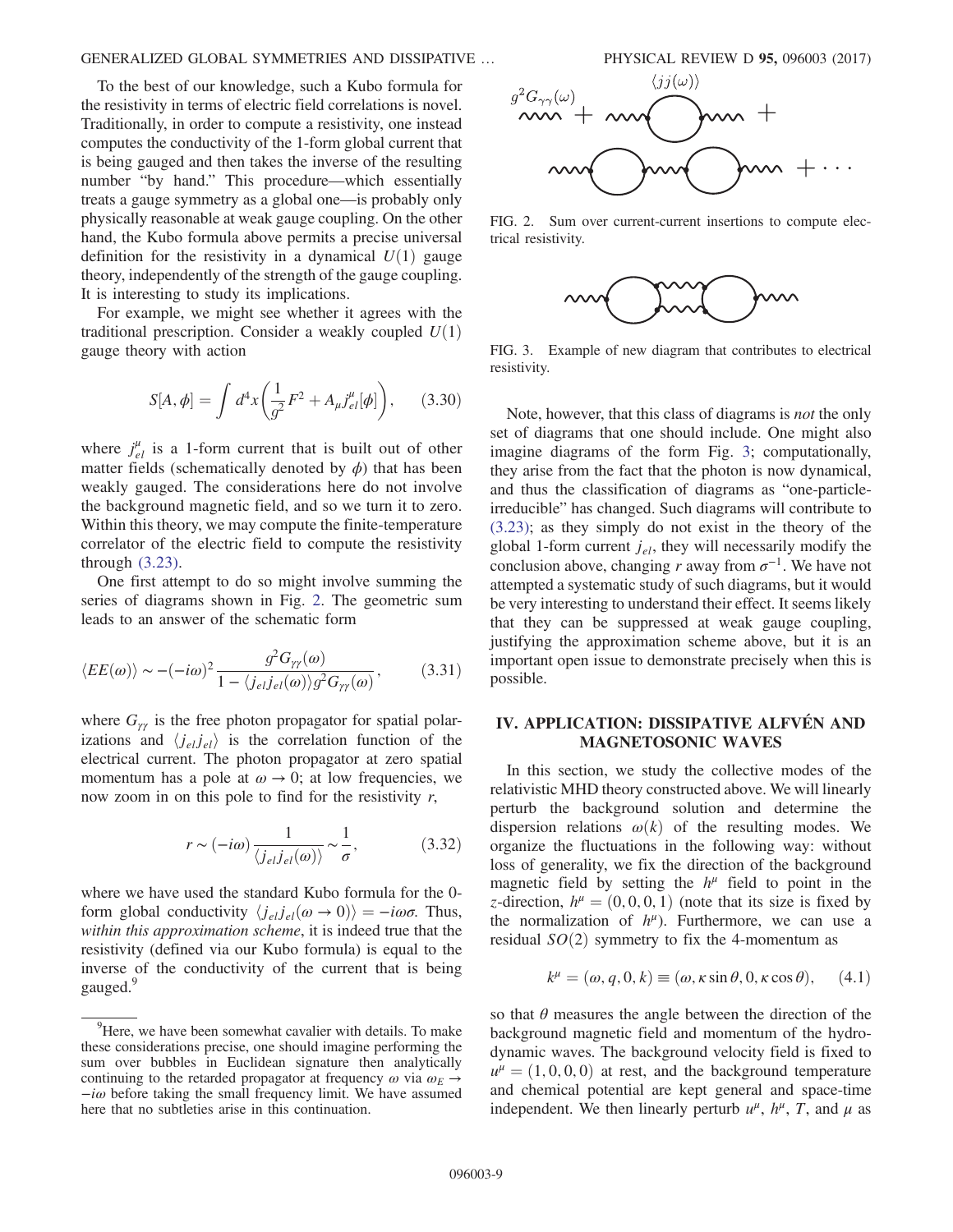## GENERALIZED GLOBAL SYMMETRIES AND DISSIPATIVE … PHYSICAL REVIEW D 95, 096003 (2017)

To the best of our knowledge, such a Kubo formula for the resistivity in terms of electric field correlations is novel. Traditionally, in order to compute a resistivity, one instead computes the conductivity of the 1-form global current that is being gauged and then takes the inverse of the resulting number "by hand." This procedure—which essentially treats a gauge symmetry as a global one—is probably only physically reasonable at weak gauge coupling. On the other hand, the Kubo formula above permits a precise universal definition for the resistivity in a dynamical  $U(1)$  gauge theory, independently of the strength of the gauge coupling. It is interesting to study its implications.

For example, we might see whether it agrees with the traditional prescription. Consider a weakly coupled  $U(1)$ gauge theory with action

$$
S[A, \phi] = \int d^4x \left( \frac{1}{g^2} F^2 + A_{\mu} j_{el}^{\mu}[\phi] \right), \quad (3.30)
$$

where  $j_{el}^{\mu}$  is a 1-form current that is built out of other matter fields (schematically denoted by  $\phi$ ) that has been weakly gauged. The considerations here do not involve the background magnetic field, and so we turn it to zero. Within this theory, we may compute the finite-temperature correlator of the electric field to compute the resistivity through [\(3.23\).](#page-8-1)

One first attempt to do so might involve summing the series of diagrams shown in Fig. [2](#page-9-1). The geometric sum leads to an answer of the schematic form

$$
\langle EE(\omega)\rangle \sim -(-i\omega)^2 \frac{g^2 G_{\gamma\gamma}(\omega)}{1 - \langle j_{el} j_{el}(\omega)\rangle g^2 G_{\gamma\gamma}(\omega)},\tag{3.31}
$$

where  $G_{\gamma\gamma}$  is the free photon propagator for spatial polarizations and  $\langle j_{el} j_{el} \rangle$  is the correlation function of the electrical current. The photon propagator at zero spatial momentum has a pole at  $\omega \to 0$ ; at low frequencies, we now zoom in on this pole to find for the resistivity  $r$ ,

$$
r \sim (-i\omega) \frac{1}{\langle j_{el} j_{el}(\omega) \rangle} \sim \frac{1}{\sigma},\tag{3.32}
$$

where we have used the standard Kubo formula for the 0 form global conductivity  $\langle j_{el}j_{el}(\omega \rightarrow 0) \rangle = -i\omega \sigma$ . Thus, within this approximation scheme, it is indeed true that the resistivity (defined via our Kubo formula) is equal to the inverse of the conductivity of the current that is being gauged.<sup>9</sup>

<span id="page-9-1"></span>

<span id="page-9-2"></span>FIG. 2. Sum over current-current insertions to compute electrical resistivity.



FIG. 3. Example of new diagram that contributes to electrical resistivity.

Note, however, that this class of diagrams is not the only set of diagrams that one should include. One might also imagine diagrams of the form Fig. [3](#page-9-2); computationally, they arise from the fact that the photon is now dynamical, and thus the classification of diagrams as "one-particleirreducible" has changed. Such diagrams will contribute to [\(3.23\)](#page-8-1); as they simply do not exist in the theory of the global 1-form current  $j_{el}$ , they will necessarily modify the conclusion above, changing r away from  $\sigma^{-1}$ . We have not attempted a systematic study of such diagrams, but it would be very interesting to understand their effect. It seems likely that they can be suppressed at weak gauge coupling, justifying the approximation scheme above, but it is an important open issue to demonstrate precisely when this is possible.

# <span id="page-9-0"></span>IV. APPLICATION: DISSIPATIVE ALFVÉN AND MAGNETOSONIC WAVES

In this section, we study the collective modes of the relativistic MHD theory constructed above. We will linearly perturb the background solution and determine the dispersion relations  $\omega(k)$  of the resulting modes. We organize the fluctuations in the following way: without loss of generality, we fix the direction of the background magnetic field by setting the  $h^{\mu}$  field to point in the z-direction,  $h^{\mu} = (0, 0, 0, 1)$  (note that its size is fixed by the normalization of  $h^{\mu}$ ). Furthermore, we can use a residual  $SO(2)$  symmetry to fix the 4-momentum as

$$
k^{\mu} = (\omega, q, 0, k) \equiv (\omega, \kappa \sin \theta, 0, \kappa \cos \theta), \quad (4.1)
$$

so that  $\theta$  measures the angle between the direction of the background magnetic field and momentum of the hydrodynamic waves. The background velocity field is fixed to  $u^{\mu} = (1, 0, 0, 0)$  at rest, and the background temperature and chemical potential are kept general and space-time independent. We then linearly perturb  $u^{\mu}$ ,  $h^{\mu}$ , T, and  $\mu$  as

<sup>&</sup>lt;sup>9</sup>Here, we have been somewhat cavalier with details. To make these considerations precise, one should imagine performing the sum over bubbles in Euclidean signature then analytically continuing to the retarded propagator at frequency  $\omega$  via  $\omega_E \rightarrow$  $-i\omega$  before taking the small frequency limit. We have assumed here that no subtleties arise in this continuation.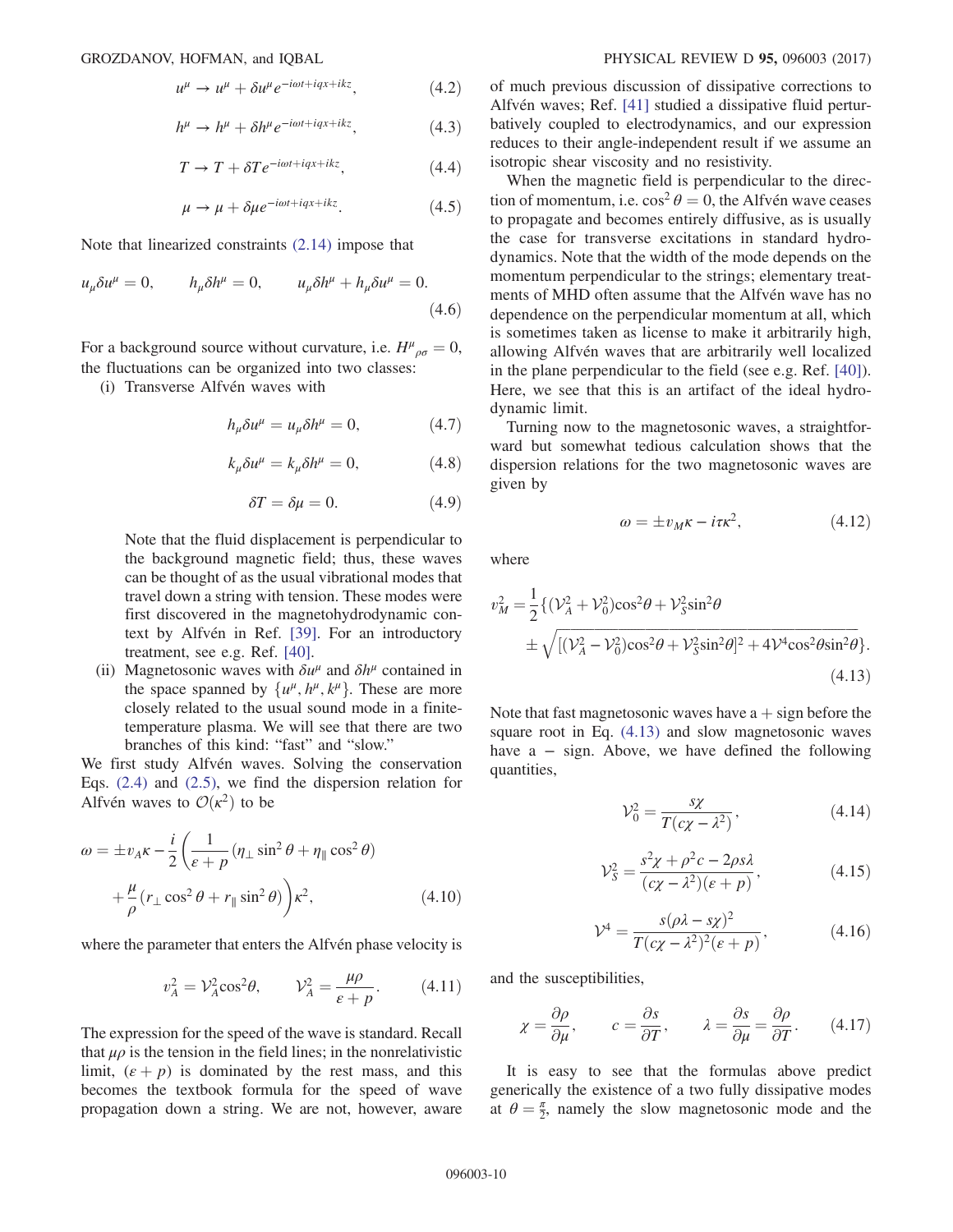$$
u^{\mu} \to u^{\mu} + \delta u^{\mu} e^{-i\omega t + iqx + ikz}, \qquad (4.2)
$$

$$
h^{\mu} \to h^{\mu} + \delta h^{\mu} e^{-i\omega t + iqx + ikz}, \qquad (4.3)
$$

$$
T \to T + \delta T e^{-i\omega t + iqx + ikz}, \tag{4.4}
$$

$$
\mu \to \mu + \delta \mu e^{-i\omega t + iqx + ikz}.\tag{4.5}
$$

Note that linearized constraints [\(2.14\)](#page-4-1) impose that

$$
u_{\mu}\delta u^{\mu} = 0, \qquad h_{\mu}\delta h^{\mu} = 0, \qquad u_{\mu}\delta h^{\mu} + h_{\mu}\delta u^{\mu} = 0.
$$
\n(4.6)

For a background source without curvature, i.e.  $H^{\mu}{}_{\rho\sigma} = 0$ ,<br>the fluctuations can be organized into two classes: the fluctuations can be organized into two classes:

(i) Transverse Alfvén waves with

$$
h_{\mu}\delta u^{\mu} = u_{\mu}\delta h^{\mu} = 0, \qquad (4.7)
$$

$$
k_{\mu}\delta u^{\mu} = k_{\mu}\delta h^{\mu} = 0, \qquad (4.8)
$$

$$
\delta T = \delta \mu = 0. \tag{4.9}
$$

Note that the fluid displacement is perpendicular to the background magnetic field; thus, these waves can be thought of as the usual vibrational modes that travel down a string with tension. These modes were first discovered in the magnetohydrodynamic context by Alfvén in Ref. [\[39\].](#page-22-15) For an introductory treatment, see e.g. Ref. [\[40\].](#page-22-16)

(ii) Magnetosonic waves with  $\delta u^{\mu}$  and  $\delta h^{\mu}$  contained in the space spanned by  $\{u^{\mu}, h^{\mu}, k^{\mu}\}\$ . These are more closely related to the usual sound mode in a finitetemperature plasma. We will see that there are two branches of this kind: "fast" and "slow."

<span id="page-10-1"></span>We first study Alfvén waves. Solving the conservation Eqs. [\(2.4\)](#page-3-5) and [\(2.5\),](#page-3-4) we find the dispersion relation for Alfvén waves to  $\mathcal{O}(\kappa^2)$  to be

$$
\omega = \pm v_A \kappa - \frac{i}{2} \left( \frac{1}{\varepsilon + p} (\eta_\perp \sin^2 \theta + \eta_\parallel \cos^2 \theta) + \frac{\mu}{\rho} (r_\perp \cos^2 \theta + r_\parallel \sin^2 \theta) \right) \kappa^2,
$$
\n(4.10)

where the parameter that enters the Alfvén phase velocity is

$$
v_A^2 = \mathcal{V}_A^2 \cos^2 \theta, \qquad \mathcal{V}_A^2 = \frac{\mu \rho}{\varepsilon + p}.
$$
 (4.11)

The expression for the speed of the wave is standard. Recall that  $\mu \rho$  is the tension in the field lines; in the nonrelativistic limit,  $(\varepsilon + p)$  is dominated by the rest mass, and this becomes the textbook formula for the speed of wave propagation down a string. We are not, however, aware of much previous discussion of dissipative corrections to Alfvén waves; Ref. [\[41\]](#page-22-17) studied a dissipative fluid perturbatively coupled to electrodynamics, and our expression reduces to their angle-independent result if we assume an isotropic shear viscosity and no resistivity.

When the magnetic field is perpendicular to the direction of momentum, i.e.  $\cos^2 \theta = 0$ , the Alfvén wave ceases to propagate and becomes entirely diffusive, as is usually the case for transverse excitations in standard hydrodynamics. Note that the width of the mode depends on the momentum perpendicular to the strings; elementary treatments of MHD often assume that the Alfvén wave has no dependence on the perpendicular momentum at all, which is sometimes taken as license to make it arbitrarily high, allowing Alfvén waves that are arbitrarily well localized in the plane perpendicular to the field (see e.g. Ref. [\[40\]\)](#page-22-16). Here, we see that this is an artifact of the ideal hydrodynamic limit.

Turning now to the magnetosonic waves, a straightforward but somewhat tedious calculation shows that the dispersion relations for the two magnetosonic waves are given by

$$
\omega = \pm v_M \kappa - i\tau \kappa^2, \qquad (4.12)
$$

<span id="page-10-0"></span>where

$$
v_M^2 = \frac{1}{2} \{ (\mathcal{V}_A^2 + \mathcal{V}_0^2) \cos^2 \theta + \mathcal{V}_S^2 \sin^2 \theta \n\pm \sqrt{[ (\mathcal{V}_A^2 - \mathcal{V}_0^2) \cos^2 \theta + \mathcal{V}_S^2 \sin^2 \theta ]^2 + 4 \mathcal{V}^4 \cos^2 \theta \sin^2 \theta } \}.
$$
\n(4.13)

Note that fast magnetosonic waves have  $a + sign$  before the square root in Eq. [\(4.13\)](#page-10-0) and slow magnetosonic waves have  $a - sign$ . Above, we have defined the following quantities,

$$
\mathcal{V}_0^2 = \frac{s\chi}{T(c\chi - \lambda^2)},\tag{4.14}
$$

$$
\mathcal{V}_S^2 = \frac{s^2 \chi + \rho^2 c - 2\rho s \lambda}{(c\chi - \lambda^2)(\epsilon + p)},
$$
\n(4.15)

$$
\mathcal{V}^4 = \frac{s(\rho \lambda - s \chi)^2}{T(c\chi - \lambda^2)^2(\varepsilon + p)},\tag{4.16}
$$

and the susceptibilities,

$$
\chi = \frac{\partial \rho}{\partial \mu}, \qquad c = \frac{\partial s}{\partial T}, \qquad \lambda = \frac{\partial s}{\partial \mu} = \frac{\partial \rho}{\partial T}.
$$
 (4.17)

It is easy to see that the formulas above predict generically the existence of a two fully dissipative modes at  $\theta = \frac{\pi}{2}$ , namely the slow magnetosonic mode and the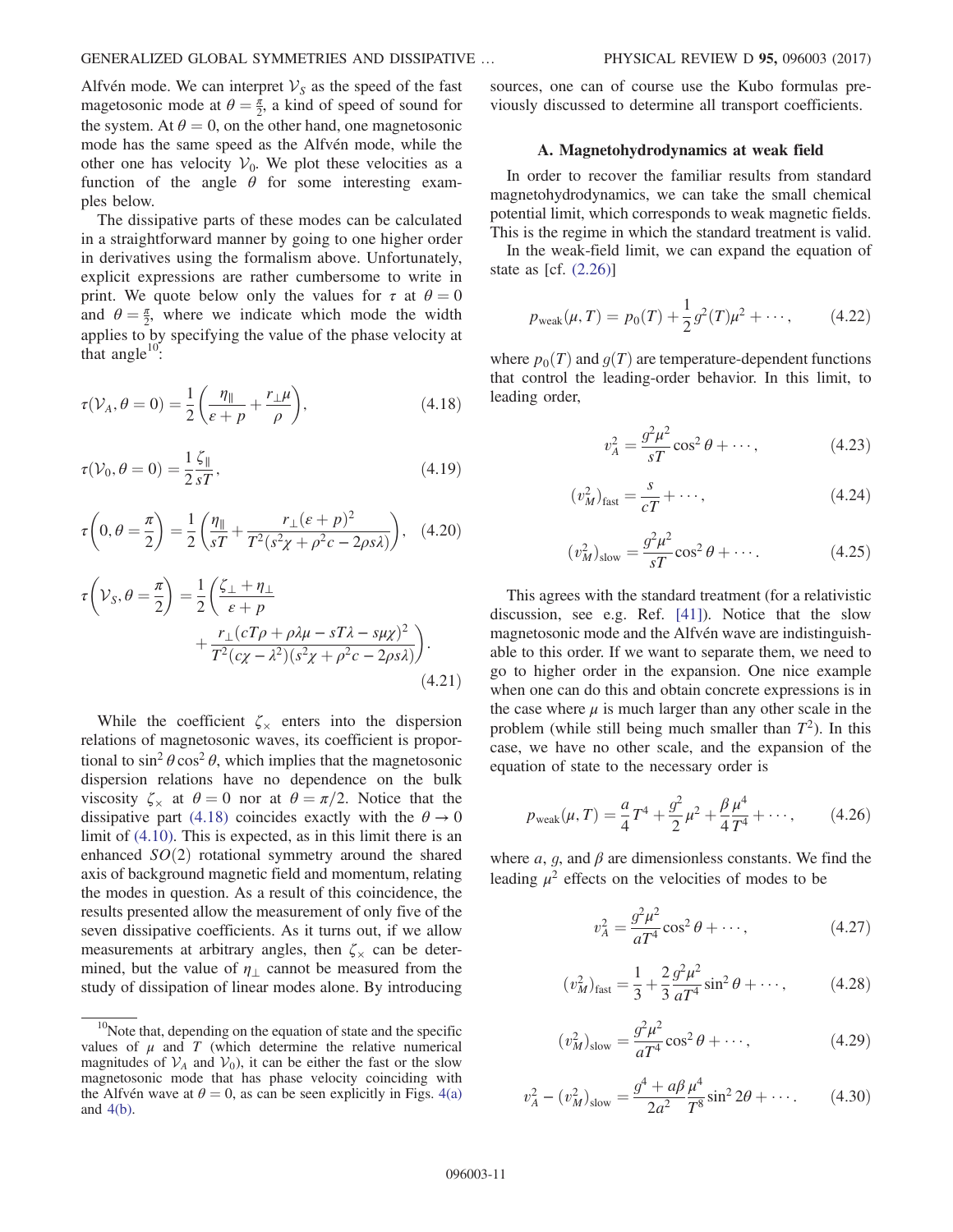Alfvén mode. We can interpret  $V<sub>S</sub>$  as the speed of the fast magetosonic mode at  $\theta = \frac{\pi}{2}$ , a kind of speed of sound for<br>the system. At  $\theta = 0$ , on the other hand, one magnetosonic the system. At  $\theta = 0$ , on the other hand, one magnetosonic mode has the same speed as the Alfvén mode, while the other one has velocity  $V_0$ . We plot these velocities as a function of the angle  $\theta$  for some interesting examples below.

The dissipative parts of these modes can be calculated in a straightforward manner by going to one higher order in derivatives using the formalism above. Unfortunately, explicit expressions are rather cumbersome to write in print. We quote below only the values for  $\tau$  at  $\theta = 0$ and  $\theta = \frac{\pi}{2}$ , where we indicate which mode the width applies to by specifying the value of the phase velocity at applies to by specifying the value of the phase velocity at that angle $^{10}$ :

<span id="page-11-0"></span>
$$
\tau(\mathcal{V}_A, \theta = 0) = \frac{1}{2} \left( \frac{\eta_{\parallel}}{\varepsilon + p} + \frac{r_{\perp} \mu}{\rho} \right),\tag{4.18}
$$

$$
\tau(\mathcal{V}_0, \theta = 0) = \frac{1}{2} \frac{\zeta_{\parallel}}{sT},\tag{4.19}
$$

$$
\tau\left(0,\theta=\frac{\pi}{2}\right)=\frac{1}{2}\left(\frac{\eta_{\parallel}}{sT}+\frac{r_{\perp}(e+p)^2}{T^2(s^2\chi+\rho^2c-2\rho s\lambda)}\right),\quad(4.20)
$$

$$
\tau\left(\mathcal{V}_{S}, \theta = \frac{\pi}{2}\right) = \frac{1}{2} \left( \frac{\zeta_{\perp} + \eta_{\perp}}{\varepsilon + p} + \frac{r_{\perp} (cT\rho + \rho \lambda \mu - sT\lambda - s\mu \chi)^{2}}{T^{2} (c\chi - \lambda^{2})(s^{2}\chi + \rho^{2}c - 2\rho s\lambda)} \right).
$$
\n(4.21)

While the coefficient  $\zeta_{\times}$  enters into the dispersion relations of magnetosonic waves, its coefficient is proportional to  $\sin^2 \theta \cos^2 \theta$ , which implies that the magnetosonic dispersion relations have no dependence on the bulk viscosity  $\zeta_{\times}$  at  $\theta = 0$  nor at  $\theta = \pi/2$ . Notice that the dissipative part [\(4.18\)](#page-11-0) coincides exactly with the  $\theta \rightarrow 0$ limit of [\(4.10\)](#page-10-1). This is expected, as in this limit there is an enhanced  $SO(2)$  rotational symmetry around the shared axis of background magnetic field and momentum, relating the modes in question. As a result of this coincidence, the results presented allow the measurement of only five of the seven dissipative coefficients. As it turns out, if we allow measurements at arbitrary angles, then  $\zeta_{\times}$  can be determined, but the value of  $\eta_{\perp}$  cannot be measured from the study of dissipation of linear modes alone. By introducing sources, one can of course use the Kubo formulas previously discussed to determine all transport coefficients.

#### A. Magnetohydrodynamics at weak field

In order to recover the familiar results from standard magnetohydrodynamics, we can take the small chemical potential limit, which corresponds to weak magnetic fields. This is the regime in which the standard treatment is valid.

In the weak-field limit, we can expand the equation of state as  $[cf. (2.26)]$  $[cf. (2.26)]$ 

$$
p_{\text{weak}}(\mu, T) = p_0(T) + \frac{1}{2}g^2(T)\mu^2 + \cdots, \qquad (4.22)
$$

where  $p_0(T)$  and  $g(T)$  are temperature-dependent functions that control the leading-order behavior. In this limit, to leading order,

$$
v_A^2 = \frac{g^2 \mu^2}{sT} \cos^2 \theta + \cdots,\tag{4.23}
$$

$$
(v_M^2)_{\text{fast}} = \frac{s}{cT} + \cdots,\tag{4.24}
$$

$$
(v_M^2)_{\text{slow}} = \frac{g^2 \mu^2}{sT} \cos^2 \theta + \cdots. \tag{4.25}
$$

This agrees with the standard treatment (for a relativistic discussion, see e.g. Ref. [\[41\]](#page-22-17)). Notice that the slow magnetosonic mode and the Alfvén wave are indistinguishable to this order. If we want to separate them, we need to go to higher order in the expansion. One nice example when one can do this and obtain concrete expressions is in the case where  $\mu$  is much larger than any other scale in the problem (while still being much smaller than  $T^2$ ). In this case, we have no other scale, and the expansion of the equation of state to the necessary order is

<span id="page-11-1"></span>
$$
p_{\text{weak}}(\mu, T) = \frac{a}{4}T^4 + \frac{g^2}{2}\mu^2 + \frac{\beta \mu^4}{4T^4} + \cdots, \qquad (4.26)
$$

where  $a$ ,  $g$ , and  $\beta$  are dimensionless constants. We find the leading  $\mu^2$  effects on the velocities of modes to be

$$
v_A^2 = \frac{g^2 \mu^2}{aT^4} \cos^2 \theta + \cdots,
$$
 (4.27)

$$
(v_M^2)_{\text{fast}} = \frac{1}{3} + \frac{2}{3} \frac{g^2 \mu^2}{aT^4} \sin^2 \theta + \cdots, \tag{4.28}
$$

$$
\left(v_M^2\right)_{\text{slow}} = \frac{g^2 \mu^2}{aT^4} \cos^2 \theta + \cdots,\tag{4.29}
$$

$$
v_A^2 - (v_M^2)_{\text{slow}} = \frac{g^4 + a\beta}{2a^2} \frac{\mu^4}{T^8} \sin^2 2\theta + \cdots. \tag{4.30}
$$

 $10$ Note that, depending on the equation of state and the specific values of  $\mu$  and  $T$  (which determine the relative numerical magnitudes of  $V_A$  and  $V_0$ ), it can be either the fast or the slow magnetosonic mode that has phase velocity coinciding with the Alfvén wave at  $\theta = 0$ , as can be seen explicitly in Figs. [4\(a\)](#page-12-0) and [4\(b\).](#page-12-0)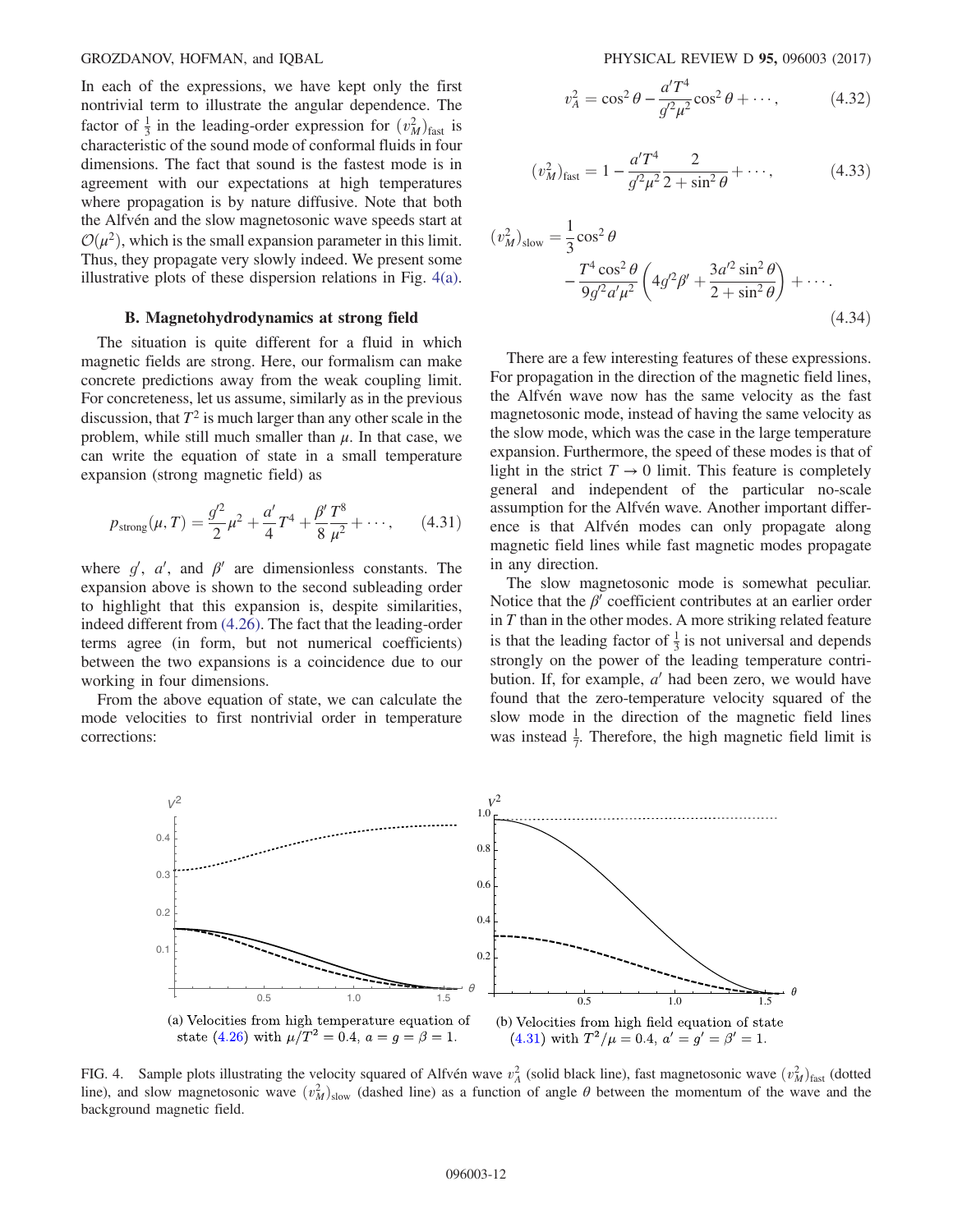In each of the expressions, we have kept only the first nontrivial term to illustrate the angular dependence. The factor of  $\frac{1}{3}$  in the leading-order expression for  $(v_M^2)_{\text{fast}}$  is characteristic of the sound mode of conformal fluids in four characteristic of the sound mode of conformal fluids in four dimensions. The fact that sound is the fastest mode is in agreement with our expectations at high temperatures where propagation is by nature diffusive. Note that both the Alfvén and the slow magnetosonic wave speeds start at  $\mathcal{O}(\mu^2)$ , which is the small expansion parameter in this limit. Thus, they propagate very slowly indeed. We present some illustrative plots of these dispersion relations in Fig. [4\(a\)](#page-12-0).

#### B. Magnetohydrodynamics at strong field

<span id="page-12-1"></span>The situation is quite different for a fluid in which magnetic fields are strong. Here, our formalism can make concrete predictions away from the weak coupling limit. For concreteness, let us assume, similarly as in the previous discussion, that  $T^2$  is much larger than any other scale in the problem, while still much smaller than  $\mu$ . In that case, we can write the equation of state in a small temperature expansion (strong magnetic field) as

$$
p_{\text{strong}}(\mu, T) = \frac{g^2}{2}\mu^2 + \frac{a'}{4}T^4 + \frac{\beta'}{8}\frac{T^8}{\mu^2} + \cdots, \qquad (4.31)
$$

where  $g'$ ,  $a'$ , and  $\beta'$  are dimensionless constants. The expansion above is shown to the second subleading order to highlight that this expansion is, despite similarities, indeed different from [\(4.26\)](#page-11-1). The fact that the leading-order terms agree (in form, but not numerical coefficients) between the two expansions is a coincidence due to our working in four dimensions.

<span id="page-12-2"></span>From the above equation of state, we can calculate the mode velocities to first nontrivial order in temperature corrections:

$$
v_A^2 = \cos^2 \theta - \frac{a'T^4}{g^2\mu^2} \cos^2 \theta + \cdots, \qquad (4.32)
$$

$$
(v_M^2)_{\text{fast}} = 1 - \frac{a'T^4}{g^2\mu^2} \frac{2}{2 + \sin^2\theta} + \cdots,
$$
 (4.33)

<span id="page-12-3"></span>
$$
(v_M^2)_{\text{slow}} = \frac{1}{3} \cos^2 \theta
$$
  
 
$$
- \frac{T^4 \cos^2 \theta}{9g'^2 a' \mu^2} \left( 4g'^2 \beta' + \frac{3a'^2 \sin^2 \theta}{2 + \sin^2 \theta} \right) + \cdots
$$
 (4.34)

There are a few interesting features of these expressions. For propagation in the direction of the magnetic field lines, the Alfvén wave now has the same velocity as the fast magnetosonic mode, instead of having the same velocity as the slow mode, which was the case in the large temperature expansion. Furthermore, the speed of these modes is that of light in the strict  $T \rightarrow 0$  limit. This feature is completely general and independent of the particular no-scale assumption for the Alfvén wave. Another important difference is that Alfvén modes can only propagate along magnetic field lines while fast magnetic modes propagate in any direction.

The slow magnetosonic mode is somewhat peculiar. Notice that the  $\beta'$  coefficient contributes at an earlier order in  $T$  than in the other modes. A more striking related feature is that the leading factor of  $\frac{1}{3}$  is not universal and depends strongly on the power of the leading temperature contribution. If, for example,  $a<sup>'</sup>$  had been zero, we would have found that the zero-temperature velocity squared of the slow mode in the direction of the magnetic field lines was instead  $\frac{1}{7}$ . Therefore, the high magnetic field limit is

<span id="page-12-0"></span>

FIG. 4. Sample plots illustrating the velocity squared of Alfvén wave  $v_A^2$  (solid black line), fast magnetosonic wave  $(v_M^2)_{\text{fast}}$  (dotted line), and slow magnetosonic wave  $(v^2)$  (dashed line) as a function of angle line), and slow magnetosonic wave  $(v_M^2)_{slow}$  (dashed line) as a function of angle  $\theta$  between the momentum of the wave and the hackground magnetic field background magnetic field.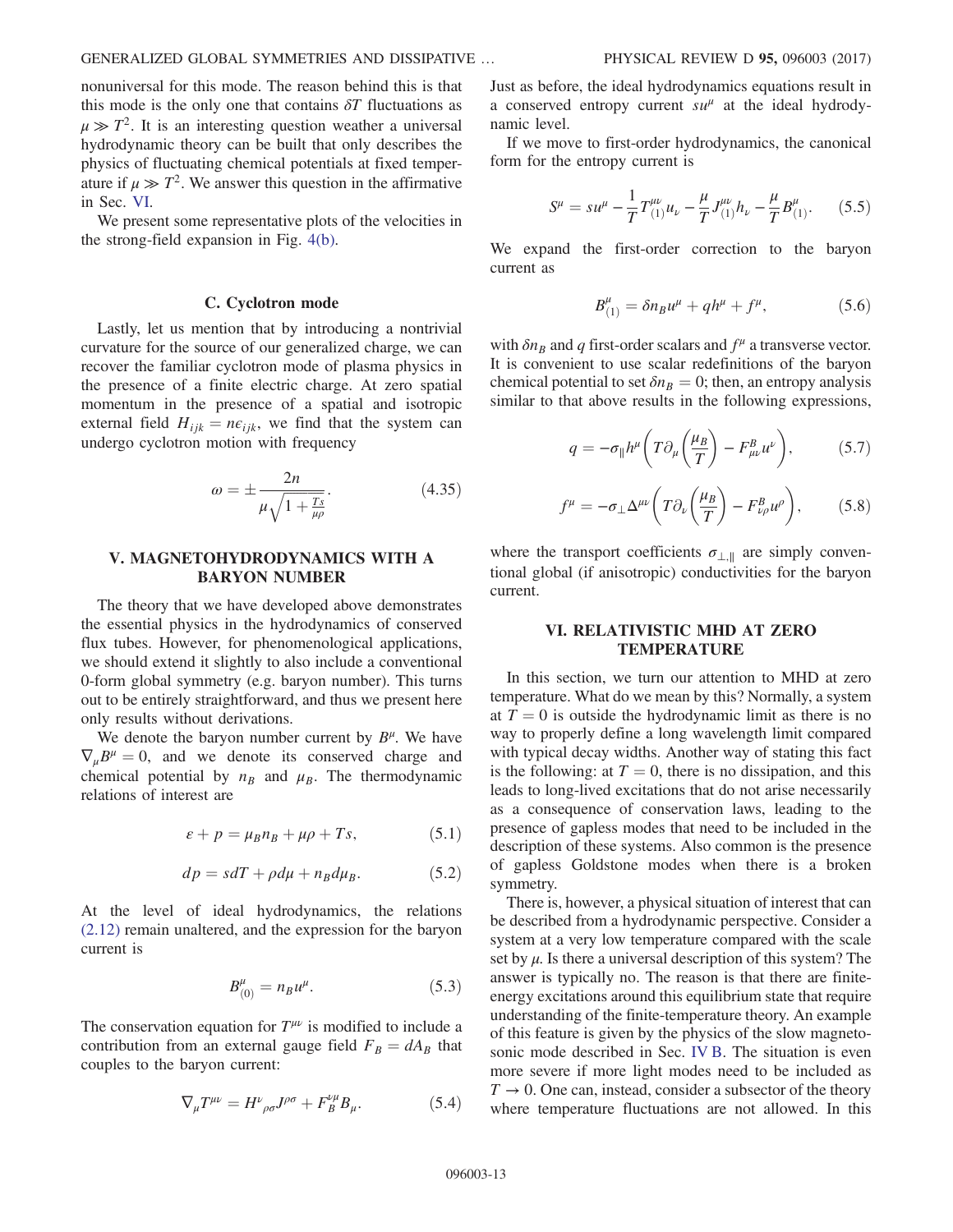nonuniversal for this mode. The reason behind this is that this mode is the only one that contains  $\delta T$  fluctuations as  $\mu \gg T^2$ . It is an interesting question weather a universal hydrodynamic theory can be built that only describes the physics of fluctuating chemical potentials at fixed temperature if  $\mu \gg T^2$ . We answer this question in the affirmative in Sec. [VI.](#page-13-1)

We present some representative plots of the velocities in the strong-field expansion in Fig. [4\(b\)](#page-12-0).

#### C. Cyclotron mode

Lastly, let us mention that by introducing a nontrivial curvature for the source of our generalized charge, we can recover the familiar cyclotron mode of plasma physics in the presence of a finite electric charge. At zero spatial momentum in the presence of a spatial and isotropic external field  $H_{ijk} = n\epsilon_{ijk}$ , we find that the system can undergo cyclotron motion with frequency

$$
\omega = \pm \frac{2n}{\mu \sqrt{1 + \frac{T_s}{\mu \rho}}}.
$$
\n(4.35)

# <span id="page-13-0"></span>V. MAGNETOHYDRODYNAMICS WITH A BARYON NUMBER

The theory that we have developed above demonstrates the essential physics in the hydrodynamics of conserved flux tubes. However, for phenomenological applications, we should extend it slightly to also include a conventional 0-form global symmetry (e.g. baryon number). This turns out to be entirely straightforward, and thus we present here only results without derivations.

We denote the baryon number current by  $B^{\mu}$ . We have  $\nabla_{\mu}B^{\mu} = 0$ , and we denote its conserved charge and chemical potential by  $n_B$  and  $\mu_B$ . The thermodynamic relations of interest are

$$
\varepsilon + p = \mu_B n_B + \mu \rho + T s,\tag{5.1}
$$

$$
dp = s dT + \rho d\mu + n_B d\mu_B. \tag{5.2}
$$

At the level of ideal hydrodynamics, the relations [\(2.12\)](#page-4-0) remain unaltered, and the expression for the baryon current is

$$
B_{(0)}^{\mu} = n_B u^{\mu}.
$$
 (5.3)

The conservation equation for  $T^{\mu\nu}$  is modified to include a contribution from an external gauge field  $F_B = dA_B$  that couples to the baryon current:

$$
\nabla_{\mu}T^{\mu\nu} = H^{\nu}{}_{\rho\sigma}J^{\rho\sigma} + F^{\nu\mu}_{B}B_{\mu}.
$$
 (5.4)

Just as before, the ideal hydrodynamics equations result in a conserved entropy current  $su^{\mu}$  at the ideal hydrodynamic level.

If we move to first-order hydrodynamics, the canonical form for the entropy current is

$$
S^{\mu} = su^{\mu} - \frac{1}{T} T^{\mu\nu}_{(1)} u_{\nu} - \frac{\mu}{T} J^{\mu\nu}_{(1)} h_{\nu} - \frac{\mu}{T} B^{\mu}_{(1)}.
$$
 (5.5)

We expand the first-order correction to the baryon current as

$$
B^{\mu}_{(1)} = \delta n_B u^{\mu} + q h^{\mu} + f^{\mu}, \qquad (5.6)
$$

with  $\delta n_B$  and q first-order scalars and  $f^{\mu}$  a transverse vector. It is convenient to use scalar redefinitions of the baryon chemical potential to set  $\delta n_B = 0$ ; then, an entropy analysis similar to that above results in the following expressions,

$$
q = -\sigma_{\parallel} h^{\mu} \left( T \partial_{\mu} \left( \frac{\mu_B}{T} \right) - F_{\mu\nu}^B u^{\nu} \right), \tag{5.7}
$$

$$
f^{\mu} = -\sigma_{\perp} \Delta^{\mu\nu} \left( T \partial_{\nu} \left( \frac{\mu_B}{T} \right) - F_{\nu \rho}^{B} u^{\rho} \right), \tag{5.8}
$$

where the transport coefficients  $\sigma_{\perp,\parallel}$  are simply conventional global (if anisotropic) conductivities for the baryon current.

## <span id="page-13-1"></span>VI. RELATIVISTIC MHD AT ZERO **TEMPERATURE**

In this section, we turn our attention to MHD at zero temperature. What do we mean by this? Normally, a system at  $T = 0$  is outside the hydrodynamic limit as there is no way to properly define a long wavelength limit compared with typical decay widths. Another way of stating this fact is the following: at  $T = 0$ , there is no dissipation, and this leads to long-lived excitations that do not arise necessarily as a consequence of conservation laws, leading to the presence of gapless modes that need to be included in the description of these systems. Also common is the presence of gapless Goldstone modes when there is a broken symmetry.

There is, however, a physical situation of interest that can be described from a hydrodynamic perspective. Consider a system at a very low temperature compared with the scale set by  $\mu$ . Is there a universal description of this system? The answer is typically no. The reason is that there are finiteenergy excitations around this equilibrium state that require understanding of the finite-temperature theory. An example of this feature is given by the physics of the slow magnetosonic mode described in Sec. [IV B](#page-12-1). The situation is even more severe if more light modes need to be included as  $T \rightarrow 0$ . One can, instead, consider a subsector of the theory where temperature fluctuations are not allowed. In this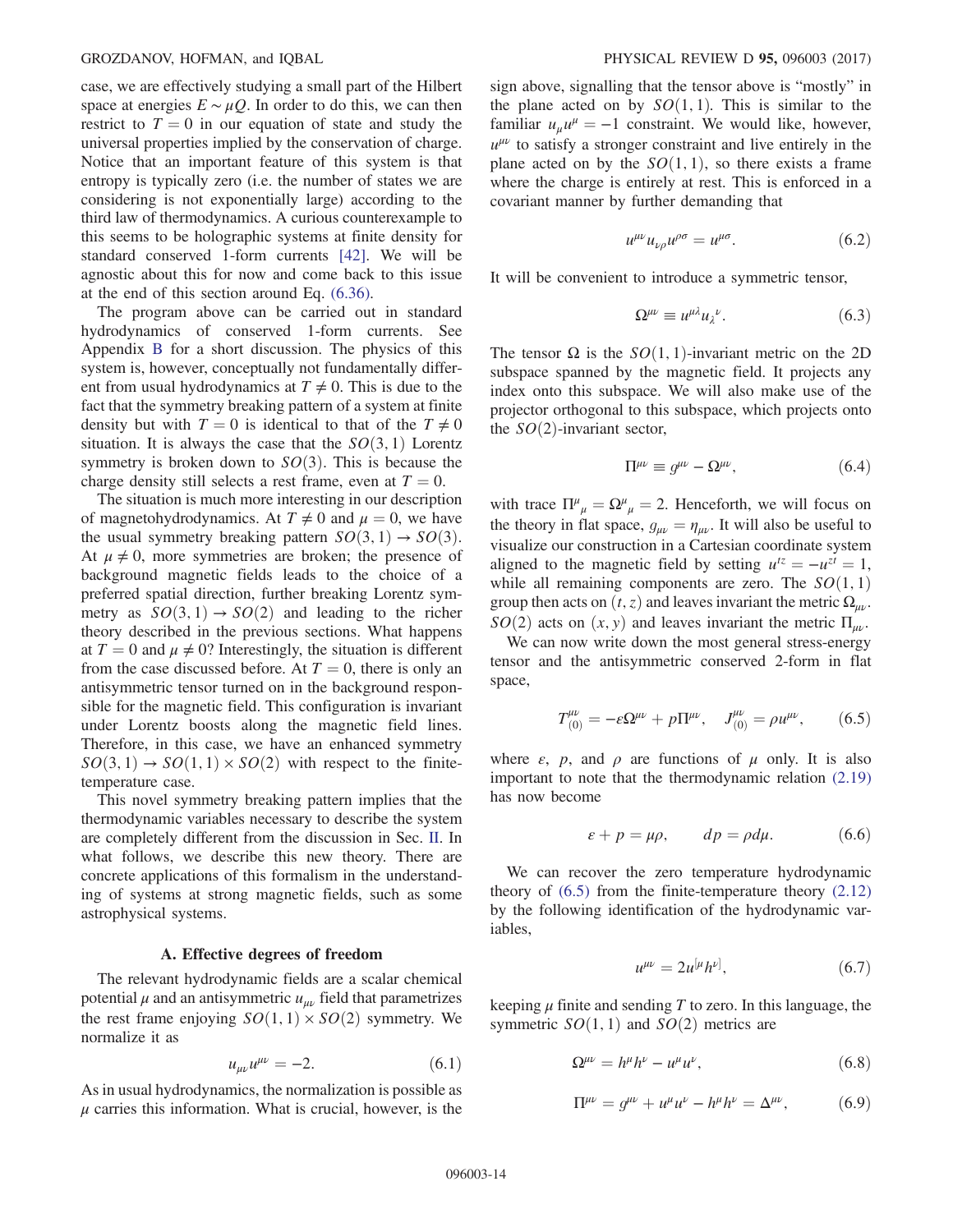case, we are effectively studying a small part of the Hilbert space at energies  $E \sim \mu Q$ . In order to do this, we can then restrict to  $T = 0$  in our equation of state and study the universal properties implied by the conservation of charge. Notice that an important feature of this system is that entropy is typically zero (i.e. the number of states we are considering is not exponentially large) according to the third law of thermodynamics. A curious counterexample to this seems to be holographic systems at finite density for standard conserved 1-form currents [\[42\]](#page-22-18). We will be agnostic about this for now and come back to this issue at the end of this section around Eq. [\(6.36\).](#page-17-0)

The program above can be carried out in standard hydrodynamics of conserved 1-form currents. See Appendix [B](#page-20-0) for a short discussion. The physics of this system is, however, conceptually not fundamentally different from usual hydrodynamics at  $T \neq 0$ . This is due to the fact that the symmetry breaking pattern of a system at finite density but with  $T = 0$  is identical to that of the  $T \neq 0$ situation. It is always the case that the  $SO(3, 1)$  Lorentz symmetry is broken down to  $SO(3)$ . This is because the charge density still selects a rest frame, even at  $T = 0$ .

The situation is much more interesting in our description of magnetohydrodynamics. At  $T \neq 0$  and  $\mu = 0$ , we have the usual symmetry breaking pattern  $SO(3, 1) \rightarrow SO(3)$ . At  $\mu \neq 0$ , more symmetries are broken; the presence of background magnetic fields leads to the choice of a preferred spatial direction, further breaking Lorentz symmetry as  $SO(3,1) \rightarrow SO(2)$  and leading to the richer theory described in the previous sections. What happens at  $T = 0$  and  $\mu \neq 0$ ? Interestingly, the situation is different from the case discussed before. At  $T = 0$ , there is only an antisymmetric tensor turned on in the background responsible for the magnetic field. This configuration is invariant under Lorentz boosts along the magnetic field lines. Therefore, in this case, we have an enhanced symmetry  $SO(3, 1) \rightarrow SO(1, 1) \times SO(2)$  with respect to the finitetemperature case.

This novel symmetry breaking pattern implies that the thermodynamic variables necessary to describe the system are completely different from the discussion in Sec. [II](#page-3-0). In what follows, we describe this new theory. There are concrete applications of this formalism in the understanding of systems at strong magnetic fields, such as some astrophysical systems.

#### A. Effective degrees of freedom

<span id="page-14-1"></span>The relevant hydrodynamic fields are a scalar chemical potential  $\mu$  and an antisymmetric  $u_{\mu\nu}$  field that parametrizes the rest frame enjoying  $SO(1,1) \times SO(2)$  symmetry. We normalize it as

$$
u_{\mu\nu}u^{\mu\nu} = -2.\t(6.1)
$$

As in usual hydrodynamics, the normalization is possible as  $\mu$  carries this information. What is crucial, however, is the sign above, signalling that the tensor above is "mostly" in the plane acted on by  $SO(1,1)$ . This is similar to the familiar  $u_{\mu}u^{\mu} = -1$  constraint. We would like, however,  $u^{\mu\nu}$  to satisfy a stronger constraint and live entirely in the plane acted on by the  $SO(1,1)$ , so there exists a frame where the charge is entirely at rest. This is enforced in a covariant manner by further demanding that

$$
u^{\mu\nu}u_{\nu\rho}u^{\rho\sigma} = u^{\mu\sigma}.
$$
 (6.2)

<span id="page-14-2"></span>It will be convenient to introduce a symmetric tensor,

$$
\Omega^{\mu\nu} \equiv u^{\mu\lambda} u_{\lambda}{}^{\nu}.
$$
 (6.3)

The tensor  $\Omega$  is the  $SO(1,1)$ -invariant metric on the 2D subspace spanned by the magnetic field. It projects any index onto this subspace. We will also make use of the projector orthogonal to this subspace, which projects onto the  $SO(2)$ -invariant sector,

$$
\Pi^{\mu\nu} \equiv g^{\mu\nu} - \Omega^{\mu\nu},\tag{6.4}
$$

with trace  $\Pi^{\mu}_{\mu} = \Omega^{\mu}_{\mu} = 2$ . Henceforth, we will focus on the theory in flat space  $g = n$ . It will also be useful to the theory in flat space,  $g_{\mu\nu} = \eta_{\mu\nu}$ . It will also be useful to visualize our construction in a Cartesian coordinate system aligned to the magnetic field by setting  $u^{tz} = -u^{zt} = 1$ , while all remaining components are zero. The  $SO(1, 1)$ group then acts on  $(t, z)$  and leaves invariant the metric  $\Omega_{\mu\nu}$ .  $SO(2)$  acts on  $(x, y)$  and leaves invariant the metric  $\Pi_{uv}$ .

<span id="page-14-0"></span>We can now write down the most general stress-energy tensor and the antisymmetric conserved 2-form in flat space,

$$
T^{\mu\nu}_{(0)} = -\varepsilon \Omega^{\mu\nu} + p\Pi^{\mu\nu}, \quad J^{\mu\nu}_{(0)} = \rho u^{\mu\nu}, \qquad (6.5)
$$

<span id="page-14-3"></span>where  $\varepsilon$ , p, and  $\rho$  are functions of  $\mu$  only. It is also important to note that the thermodynamic relation [\(2.19\)](#page-5-1) has now become

$$
\varepsilon + p = \mu \rho, \qquad dp = \rho d\mu. \tag{6.6}
$$

We can recover the zero temperature hydrodynamic theory of  $(6.5)$  from the finite-temperature theory  $(2.12)$ by the following identification of the hydrodynamic variables,

$$
u^{\mu\nu} = 2u^{[\mu}h^{\nu]}, \tag{6.7}
$$

keeping  $\mu$  finite and sending T to zero. In this language, the symmetric  $SO(1, 1)$  and  $SO(2)$  metrics are

$$
\Omega^{\mu\nu} = h^{\mu}h^{\nu} - u^{\mu}u^{\nu},\tag{6.8}
$$

$$
\Pi^{\mu\nu} = g^{\mu\nu} + u^{\mu}u^{\nu} - h^{\mu}h^{\nu} = \Delta^{\mu\nu}, \tag{6.9}
$$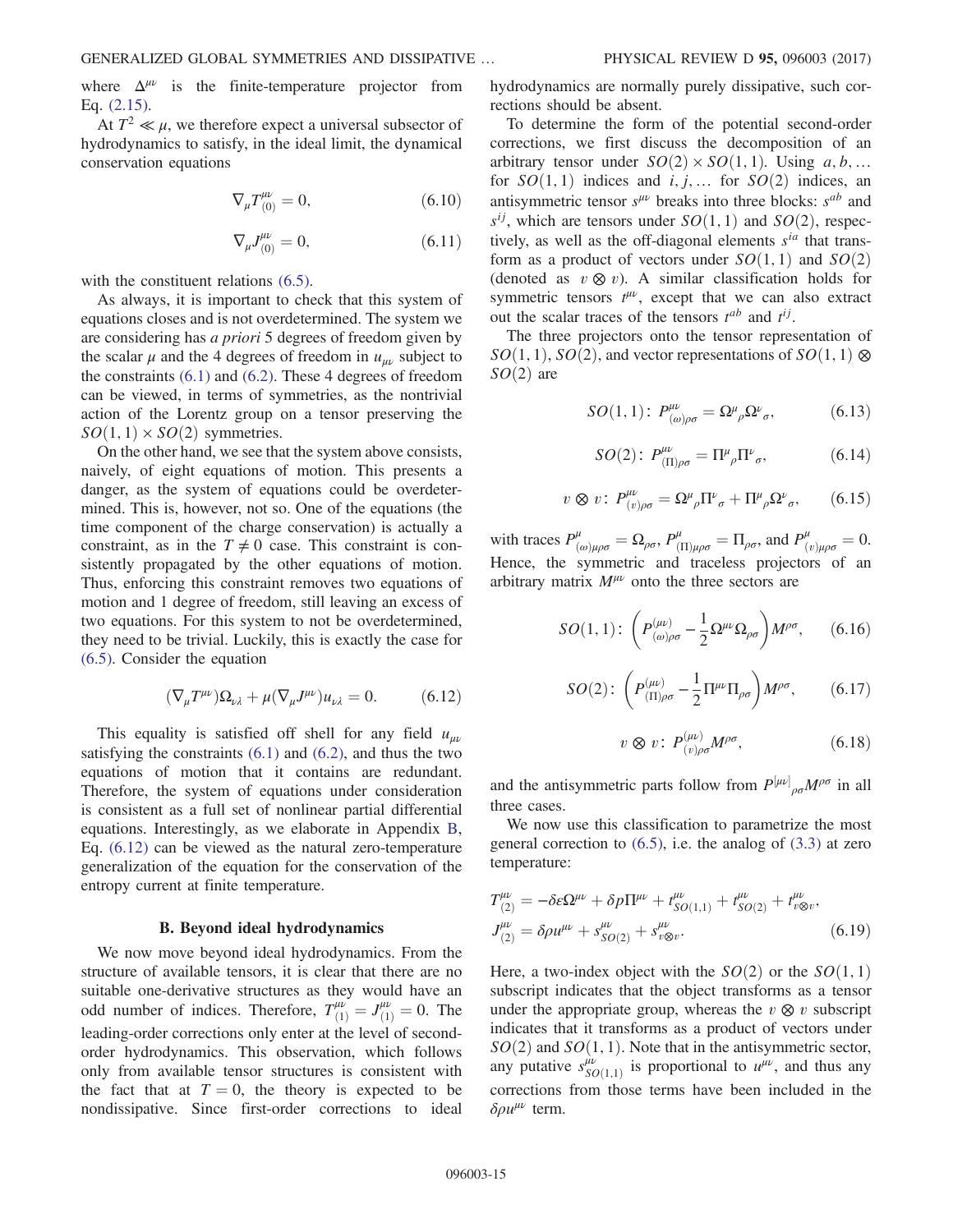where  $\Delta^{\mu\nu}$  is the finite-temperature projector from Eq. [\(2.15\)](#page-4-2).

At  $T^2 \ll \mu$ , we therefore expect a universal subsector of hydrodynamics to satisfy, in the ideal limit, the dynamical conservation equations

$$
\nabla_{\mu} T^{\mu\nu}_{(0)} = 0, \tag{6.10}
$$

$$
\nabla_{\mu} J^{\mu\nu}_{(0)} = 0, \tag{6.11}
$$

with the constituent relations  $(6.5)$ .

As always, it is important to check that this system of equations closes and is not overdetermined. The system we are considering has a priori 5 degrees of freedom given by the scalar  $\mu$  and the 4 degrees of freedom in  $u_{\mu\nu}$  subject to the constraints  $(6.1)$  and  $(6.2)$ . These 4 degrees of freedom can be viewed, in terms of symmetries, as the nontrivial action of the Lorentz group on a tensor preserving the  $SO(1, 1) \times SO(2)$  symmetries.

On the other hand, we see that the system above consists, naively, of eight equations of motion. This presents a danger, as the system of equations could be overdetermined. This is, however, not so. One of the equations (the time component of the charge conservation) is actually a constraint, as in the  $T \neq 0$  case. This constraint is consistently propagated by the other equations of motion. Thus, enforcing this constraint removes two equations of motion and 1 degree of freedom, still leaving an excess of two equations. For this system to not be overdetermined, they need to be trivial. Luckily, this is exactly the case for [\(6.5\).](#page-14-0) Consider the equation

$$
(\nabla_{\mu}T^{\mu\nu})\Omega_{\nu\lambda} + \mu(\nabla_{\mu}J^{\mu\nu})u_{\nu\lambda} = 0. \qquad (6.12)
$$

<span id="page-15-0"></span>This equality is satisfied off shell for any field  $u_{\mu\nu}$ satisfying the constraints  $(6.1)$  and  $(6.2)$ , and thus the two equations of motion that it contains are redundant. Therefore, the system of equations under consideration is consistent as a full set of nonlinear partial differential equations. Interestingly, as we elaborate in Appendix [B](#page-20-0), Eq. [\(6.12\)](#page-15-0) can be viewed as the natural zero-temperature generalization of the equation for the conservation of the entropy current at finite temperature.

#### B. Beyond ideal hydrodynamics

We now move beyond ideal hydrodynamics. From the structure of available tensors, it is clear that there are no suitable one-derivative structures as they would have an odd number of indices. Therefore,  $T_{(1)}^{\mu\nu} = J_{(1)}^{\mu\nu} = 0$ . The leading-order corrections only enter at the level of secondorder hydrodynamics. This observation, which follows only from available tensor structures is consistent with the fact that at  $T = 0$ , the theory is expected to be nondissipative. Since first-order corrections to ideal hydrodynamics are normally purely dissipative, such corrections should be absent.

To determine the form of the potential second-order corrections, we first discuss the decomposition of an arbitrary tensor under  $SO(2) \times SO(1, 1)$ . Using a, b, ... for  $SO(1,1)$  indices and i, j, ... for  $SO(2)$  indices, an antisymmetric tensor  $s^{\mu\nu}$  breaks into three blocks:  $s^{ab}$  and  $s^{ij}$ , which are tensors under  $SO(1, 1)$  and  $SO(2)$ , respectively, as well as the off-diagonal elements  $s^{ia}$  that transform as a product of vectors under  $SO(1,1)$  and  $SO(2)$ (denoted as  $v \otimes v$ ). A similar classification holds for symmetric tensors  $t^{\mu\nu}$ , except that we can also extract out the scalar traces of the tensors  $t^{ab}$  and  $t^{ij}$ .

The three projectors onto the tensor representation of  $SO(1, 1), SO(2)$ , and vector representations of  $SO(1, 1)$  ⊗  $SO(2)$  are

$$
SO(1,1): P^{\mu\nu}_{(\omega)\rho\sigma} = \Omega^{\mu}{}_{\rho}\Omega^{\nu}{}_{\sigma},\tag{6.13}
$$

$$
SO(2): P^{\mu\nu}_{(\Pi)\rho\sigma} = \Pi^{\mu}_{\rho} \Pi^{\nu}_{\sigma}, \tag{6.14}
$$

$$
v \otimes v : P^{\mu\nu}_{(v)\rho\sigma} = \Omega^{\mu}{}_{\rho}\Pi^{\nu}{}_{\sigma} + \Pi^{\mu}{}_{\rho}\Omega^{\nu}{}_{\sigma}, \qquad (6.15)
$$

with traces  $P^{\mu}_{(\omega)\mu\rho\sigma} = \Omega_{\rho\sigma}, P^{\mu}_{(\Pi)\mu\rho\sigma} = \Pi_{\rho\sigma}$ , and  $P^{\mu}_{(\nu)\mu\rho\sigma} = 0$ . Hence, the symmetric and traceless projectors of an arbitrary matrix  $M^{\mu\nu}$  onto the three sectors are

$$
SO(1,1):\left(P^{(\mu\nu)}_{(\omega)\rho\sigma} - \frac{1}{2}\Omega^{\mu\nu}\Omega_{\rho\sigma}\right)M^{\rho\sigma},\qquad(6.16)
$$

$$
SO(2): \left(P_{(\Pi)\rho\sigma}^{(\mu\nu)} - \frac{1}{2}\Pi^{\mu\nu}\Pi_{\rho\sigma}\right)M^{\rho\sigma}, \qquad (6.17)
$$

$$
v \otimes v : P_{(v)\rho\sigma}^{(\mu\nu)} M^{\rho\sigma}, \tag{6.18}
$$

and the antisymmetric parts follow from  $P^{[\mu\nu]}_{\rho\sigma}M^{\rho\sigma}$  in all three cases.

<span id="page-15-1"></span>We now use this classification to parametrize the most general correction to  $(6.5)$ , i.e. the analog of  $(3.3)$  at zero temperature:

$$
T_{(2)}^{\mu\nu} = -\delta \varepsilon \Omega^{\mu\nu} + \delta p \Pi^{\mu\nu} + t_{SO(1,1)}^{\mu\nu} + t_{SO(2)}^{\mu\nu} + t_{\nu\otimes\nu}^{\mu\nu},
$$
  
\n
$$
J_{(2)}^{\mu\nu} = \delta \rho u^{\mu\nu} + s_{SO(2)}^{\mu\nu} + s_{\nu\otimes\nu}^{\mu\nu}.
$$
\n(6.19)

Here, a two-index object with the  $SO(2)$  or the  $SO(1, 1)$ subscript indicates that the object transforms as a tensor under the appropriate group, whereas the  $v \otimes v$  subscript indicates that it transforms as a product of vectors under  $SO(2)$  and  $SO(1, 1)$ . Note that in the antisymmetric sector, any putative  $s_{SO(1,1)}^{\mu\nu}$  is proportional to  $u^{\mu\nu}$ , and thus any corrections from those terms have been included in the δρ $u^{\mu\nu}$  term.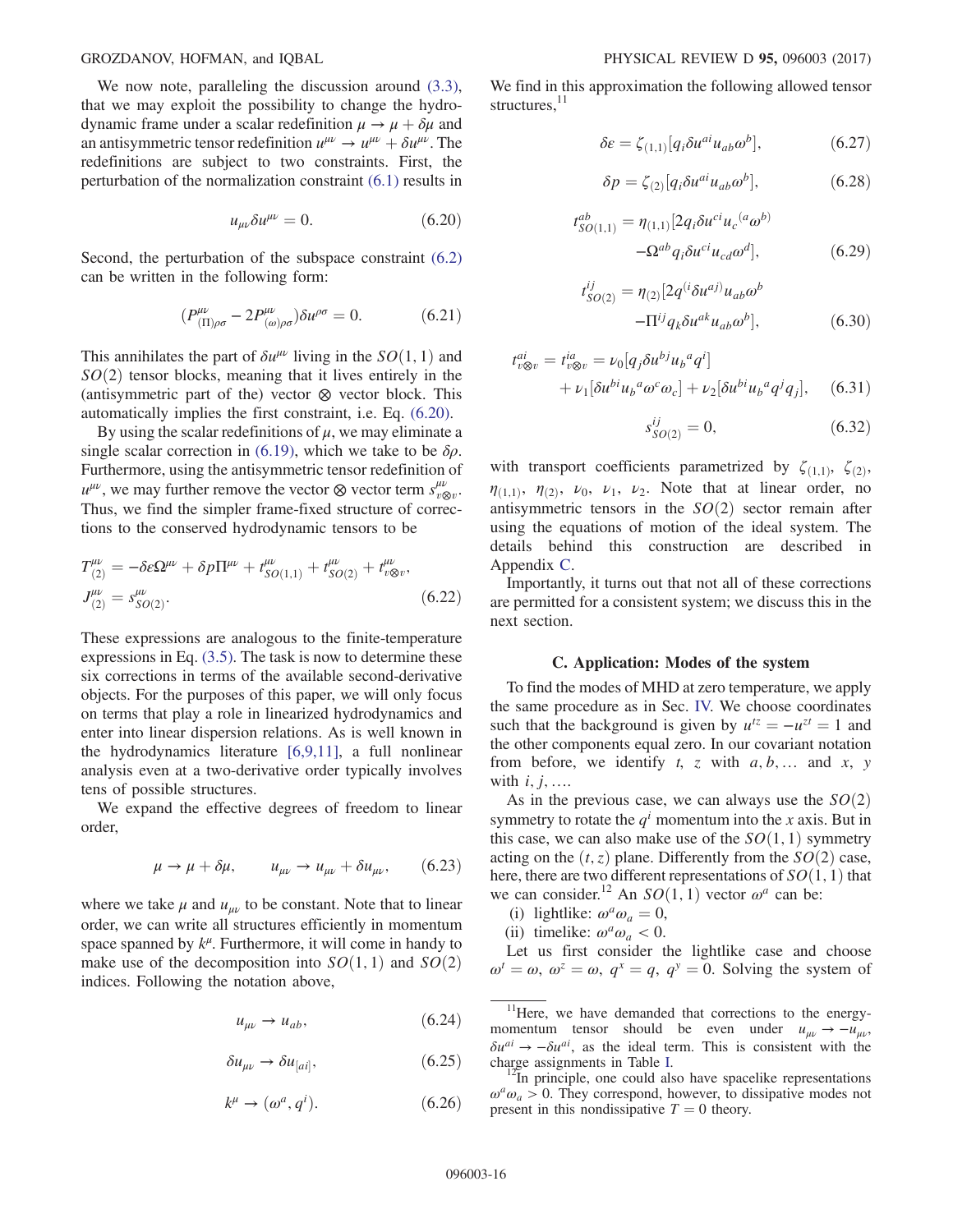<span id="page-16-0"></span>We now note, paralleling the discussion around  $(3.3)$ , that we may exploit the possibility to change the hydrodynamic frame under a scalar redefinition  $\mu \rightarrow \mu + \delta \mu$  and an antisymmetric tensor redefinition  $u^{\mu\nu} \rightarrow u^{\mu\nu} + \delta u^{\mu\nu}$ . The redefinitions are subject to two constraints. First, the perturbation of the normalization constraint [\(6.1\)](#page-14-1) results in

$$
u_{\mu\nu}\delta u^{\mu\nu} = 0.\tag{6.20}
$$

Second, the perturbation of the subspace constraint [\(6.2\)](#page-14-2) can be written in the following form:

$$
(P^{\mu\nu}_{(\Pi)\rho\sigma} - 2P^{\mu\nu}_{(\omega)\rho\sigma})\delta u^{\rho\sigma} = 0.
$$
 (6.21)

This annihilates the part of  $\delta u^{\mu\nu}$  living in the  $SO(1, 1)$  and  $SO(2)$  tensor blocks, meaning that it lives entirely in the (antisymmetric part of the) vector ⊗ vector block. This automatically implies the first constraint, i.e. Eq. [\(6.20\).](#page-16-0)

By using the scalar redefinitions of  $\mu$ , we may eliminate a single scalar correction in [\(6.19\)](#page-15-1), which we take to be  $\delta \rho$ . Furthermore, using the antisymmetric tensor redefinition of  $u^{\mu\nu}$ , we may further remove the vector ⊗ vector term  $s^{\mu\nu}_{v\otimes v}$ . Thus, we find the simpler frame-fixed structure of corrections to the conserved hydrodynamic tensors to be

$$
T^{\mu\nu}_{(2)} = -\delta \varepsilon \Omega^{\mu\nu} + \delta p \Pi^{\mu\nu} + t^{\mu\nu}_{SO(1,1)} + t^{\mu\nu}_{SO(2)} + t^{\mu\nu}_{v \otimes v},
$$
  
\n
$$
J^{\mu\nu}_{(2)} = s^{\mu\nu}_{SO(2)}.
$$
\n(6.22)

These expressions are analogous to the finite-temperature expressions in Eq. [\(3.5\).](#page-6-4) The task is now to determine these six corrections in terms of the available second-derivative objects. For the purposes of this paper, we will only focus on terms that play a role in linearized hydrodynamics and enter into linear dispersion relations. As is well known in the hydrodynamics literature [\[6,9,11\],](#page-21-2) a full nonlinear analysis even at a two-derivative order typically involves tens of possible structures.

<span id="page-16-1"></span>We expand the effective degrees of freedom to linear order,

$$
\mu \to \mu + \delta \mu, \qquad u_{\mu\nu} \to u_{\mu\nu} + \delta u_{\mu\nu}, \qquad (6.23)
$$

where we take  $\mu$  and  $u_{\mu\nu}$  to be constant. Note that to linear order, we can write all structures efficiently in momentum space spanned by  $k^{\mu}$ . Furthermore, it will come in handy to make use of the decomposition into  $SO(1, 1)$  and  $SO(2)$ indices. Following the notation above,

$$
u_{\mu\nu} \to u_{ab},\tag{6.24}
$$

$$
\delta u_{\mu\nu} \to \delta u_{[ai]}, \tag{6.25}
$$

$$
k^{\mu} \to (\omega^a, q^i). \tag{6.26}
$$

<span id="page-16-2"></span>We find in this approximation the following allowed tensor structures, $^{11}$ 

$$
\delta \varepsilon = \zeta_{(1,1)}[q_i \delta u^{ai} u_{ab} \omega^b],\tag{6.27}
$$

$$
\delta p = \zeta_{(2)}[q_i \delta u^{ai} u_{ab} \omega^b],\tag{6.28}
$$

$$
t_{SO(1,1)}^{ab} = \eta_{(1,1)} [2q_i \delta u^{ci} u_c^{(a} \omega^{b)} -\Omega^{ab} q_i \delta u^{ci} u_{cd} \omega^{d}],
$$
 (6.29)

$$
t_{SO(2)}^{ij} = \eta_{(2)} [2q^{(i}\delta u^{aj)} u_{ab} \omega^b
$$

$$
-\Pi^{ij} q_k \delta u^{ak} u_{ab} \omega^b],
$$
(6.30)

<span id="page-16-3"></span>
$$
t_{v\otimes v}^{ai} = t_{v\otimes v}^{ia} = \nu_0 [q_j \delta u^{bj} u_b{}^a q^i]
$$
  
+ 
$$
\nu_1 [\delta u^{bi} u_b{}^a \omega^c \omega_c] + \nu_2 [\delta u^{bi} u_b{}^a q^j q_j], \quad (6.31)
$$

$$
s_{SO(2)}^{ij} = 0,\t\t(6.32)
$$

with transport coefficients parametrized by  $\zeta_{(1,1)}, \zeta_{(2)}$ ,  $\eta_{(1,1)}, \eta_{(2)}, \nu_0, \nu_1, \nu_2$ . Note that at linear order, no<br>optimization to some in the  $SO(2)$  sector rangin often antisymmetric tensors in the  $SO(2)$  sector remain after using the equations of motion of the ideal system. The details behind this construction are described in Appendix [C.](#page-20-1)

Importantly, it turns out that not all of these corrections are permitted for a consistent system; we discuss this in the next section.

### C. Application: Modes of the system

To find the modes of MHD at zero temperature, we apply the same procedure as in Sec. [IV.](#page-9-0) We choose coordinates such that the background is given by  $u^{tz} = -u^{zt} = 1$  and the other components equal zero. In our covariant notation from before, we identify t, z with  $a, b, \ldots$  and x, y with  $i, j, \ldots$ 

As in the previous case, we can always use the  $SO(2)$ symmetry to rotate the  $q<sup>i</sup>$  momentum into the x axis. But in this case, we can also make use of the  $SO(1, 1)$  symmetry acting on the  $(t, z)$  plane. Differently from the  $SO(2)$  case, here, there are two different representations of  $SO(1, 1)$  that we can consider.<sup>12</sup> An  $SO(1, 1)$  vector  $\omega^a$  can be:

- (i) lightlike:  $\omega^a \omega_a = 0$ ,
- (ii) timelike:  $\omega^a \omega_a < 0$ .

Let us first consider the lightlike case and choose  $\omega^t = \omega$ ,  $\omega^z = \omega$ ,  $q^x = q$ ,  $q^y = 0$ . Solving the system of

<sup>&</sup>lt;sup>11</sup>Here, we have demanded that corrections to the energymomentum tensor should be even under  $u_{\mu\nu} \rightarrow -u_{\mu\nu}$ ,  $\delta u^{ai} \rightarrow -\delta u^{ai}$ , as the ideal term. This is consistent with the charge assignments in Table I.

 $^{12}$ In principle, one could also have spacelike representations  $\omega^a \omega_a > 0$ . They correspond, however, to dissipative modes not present in this nondissipative  $T = 0$  theory.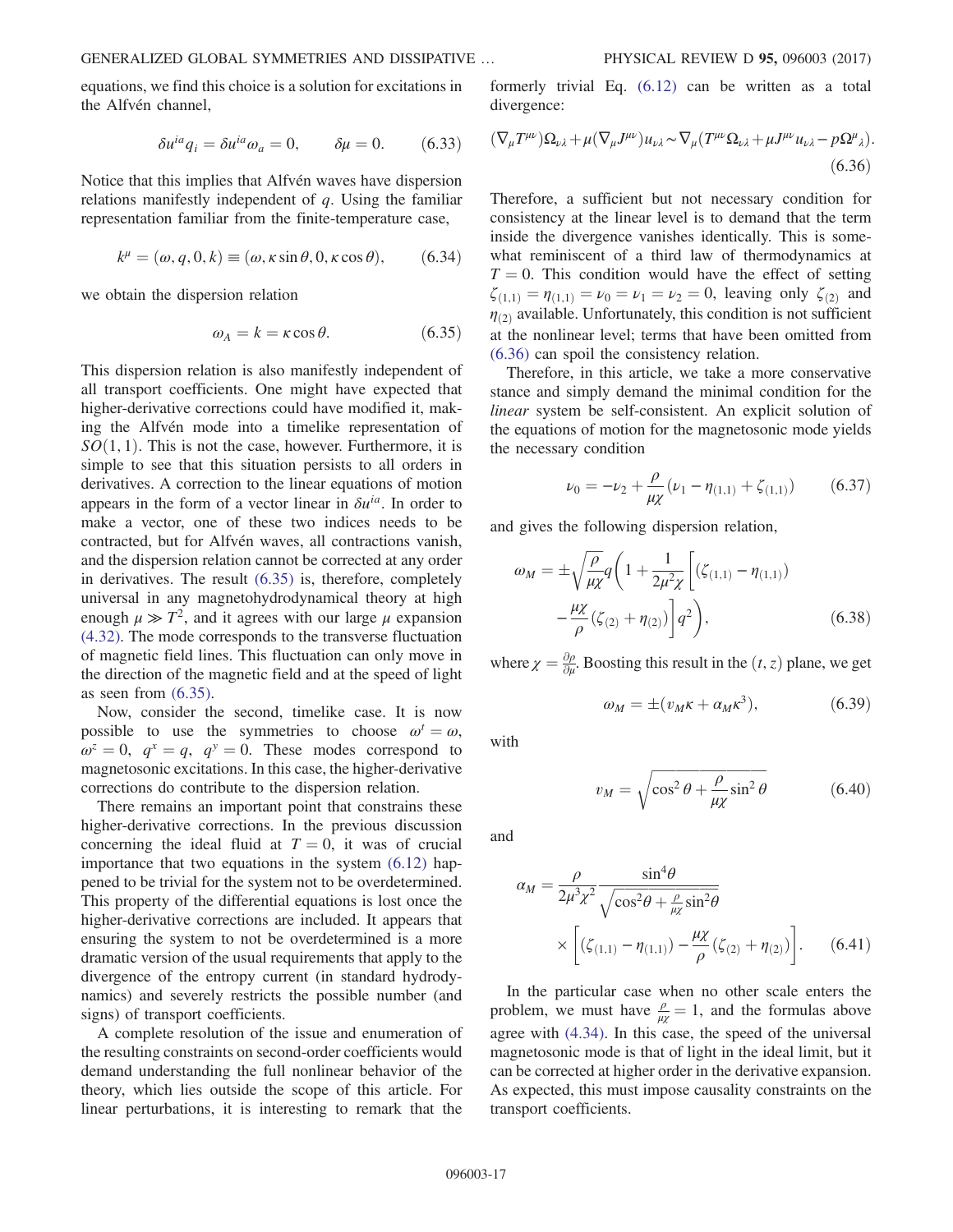equations, we find this choice is a solution for excitations in the Alfvén channel,

$$
\delta u^{ia} q_i = \delta u^{ia} \omega_a = 0, \qquad \delta \mu = 0. \tag{6.33}
$$

Notice that this implies that Alfvén waves have dispersion relations manifestly independent of q. Using the familiar representation familiar from the finite-temperature case,

$$
k^{\mu} = (\omega, q, 0, k) \equiv (\omega, \kappa \sin \theta, 0, \kappa \cos \theta), \qquad (6.34)
$$

<span id="page-17-1"></span>we obtain the dispersion relation

$$
\omega_A = k = \kappa \cos \theta. \tag{6.35}
$$

This dispersion relation is also manifestly independent of all transport coefficients. One might have expected that higher-derivative corrections could have modified it, making the Alfvén mode into a timelike representation of  $SO(1, 1)$ . This is not the case, however. Furthermore, it is simple to see that this situation persists to all orders in derivatives. A correction to the linear equations of motion appears in the form of a vector linear in  $\delta u^{ia}$ . In order to make a vector, one of these two indices needs to be contracted, but for Alfvén waves, all contractions vanish, and the dispersion relation cannot be corrected at any order in derivatives. The result [\(6.35\)](#page-17-1) is, therefore, completely universal in any magnetohydrodynamical theory at high enough  $\mu \gg T^2$ , and it agrees with our large  $\mu$  expansion [\(4.32\)](#page-12-2). The mode corresponds to the transverse fluctuation of magnetic field lines. This fluctuation can only move in the direction of the magnetic field and at the speed of light as seen from [\(6.35\)](#page-17-1).

Now, consider the second, timelike case. It is now possible to use the symmetries to choose  $\omega^t = \omega$ ,  $\omega^z = 0$ ,  $q^x = q$ ,  $q^y = 0$ . These modes correspond to magnetosonic excitations. In this case, the higher-derivative corrections do contribute to the dispersion relation.

There remains an important point that constrains these higher-derivative corrections. In the previous discussion concerning the ideal fluid at  $T = 0$ , it was of crucial importance that two equations in the system [\(6.12\)](#page-15-0) happened to be trivial for the system not to be overdetermined. This property of the differential equations is lost once the higher-derivative corrections are included. It appears that ensuring the system to not be overdetermined is a more dramatic version of the usual requirements that apply to the divergence of the entropy current (in standard hydrodynamics) and severely restricts the possible number (and signs) of transport coefficients.

A complete resolution of the issue and enumeration of the resulting constraints on second-order coefficients would demand understanding the full nonlinear behavior of the theory, which lies outside the scope of this article. For linear perturbations, it is interesting to remark that the <span id="page-17-0"></span>formerly trivial Eq. [\(6.12\)](#page-15-0) can be written as a total divergence:

$$
(\nabla_{\mu}T^{\mu\nu})\Omega_{\nu\lambda} + \mu(\nabla_{\mu}J^{\mu\nu})u_{\nu\lambda} \sim \nabla_{\mu}(T^{\mu\nu}\Omega_{\nu\lambda} + \mu J^{\mu\nu}u_{\nu\lambda} - p\Omega^{\mu}_{\lambda}).
$$
\n(6.36)

Therefore, a sufficient but not necessary condition for consistency at the linear level is to demand that the term inside the divergence vanishes identically. This is somewhat reminiscent of a third law of thermodynamics at  $T = 0$ . This condition would have the effect of setting  $\zeta_{(1,1)} = \eta_{(1,1)} = \nu_0 = \nu_1 = \nu_2 = 0$ , leaving only  $\zeta_{(2)}$  and  $\nu_1$ , overllooks Unfortunately this condition is not sufficient  $\eta_{(2)}$  available. Unfortunately, this condition is not sufficient at the nonlinear level; terms that have been omitted from [\(6.36\)](#page-17-0) can spoil the consistency relation.

Therefore, in this article, we take a more conservative stance and simply demand the minimal condition for the linear system be self-consistent. An explicit solution of the equations of motion for the magnetosonic mode yields the necessary condition

$$
\nu_0 = -\nu_2 + \frac{\rho}{\mu \chi} (\nu_1 - \eta_{(1,1)} + \zeta_{(1,1)}) \tag{6.37}
$$

and gives the following dispersion relation,

$$
\omega_M = \pm \sqrt{\frac{\rho}{\mu \chi}} q \left( 1 + \frac{1}{2\mu^2 \chi} \left[ (\zeta_{(1,1)} - \eta_{(1,1)}) - \frac{\mu \chi}{\rho} (\zeta_{(2)} + \eta_{(2)}) \right] q^2 \right),
$$
\n(6.38)

where  $\chi = \frac{\partial \rho}{\partial \mu}$ . Boosting this result in the  $(t, z)$  plane, we get

$$
\omega_M = \pm (v_M \kappa + \alpha_M \kappa^3), \tag{6.39}
$$

with

$$
v_M = \sqrt{\cos^2 \theta + \frac{\rho}{\mu \chi} \sin^2 \theta} \tag{6.40}
$$

and

$$
\alpha_M = \frac{\rho}{2\mu^3 \chi^2} \frac{\sin^4 \theta}{\sqrt{\cos^2 \theta + \frac{\rho}{\mu \chi} \sin^2 \theta}} \times \left[ (\zeta_{(1,1)} - \eta_{(1,1)}) - \frac{\mu \chi}{\rho} (\zeta_{(2)} + \eta_{(2)}) \right].
$$
 (6.41)

In the particular case when no other scale enters the problem, we must have  $\frac{\rho}{\mu\chi} = 1$ , and the formulas above agree with [\(4.34\)](#page-12-3). In this case, the speed of the universal magnetosonic mode is that of light in the ideal limit, but it can be corrected at higher order in the derivative expansion. As expected, this must impose causality constraints on the transport coefficients.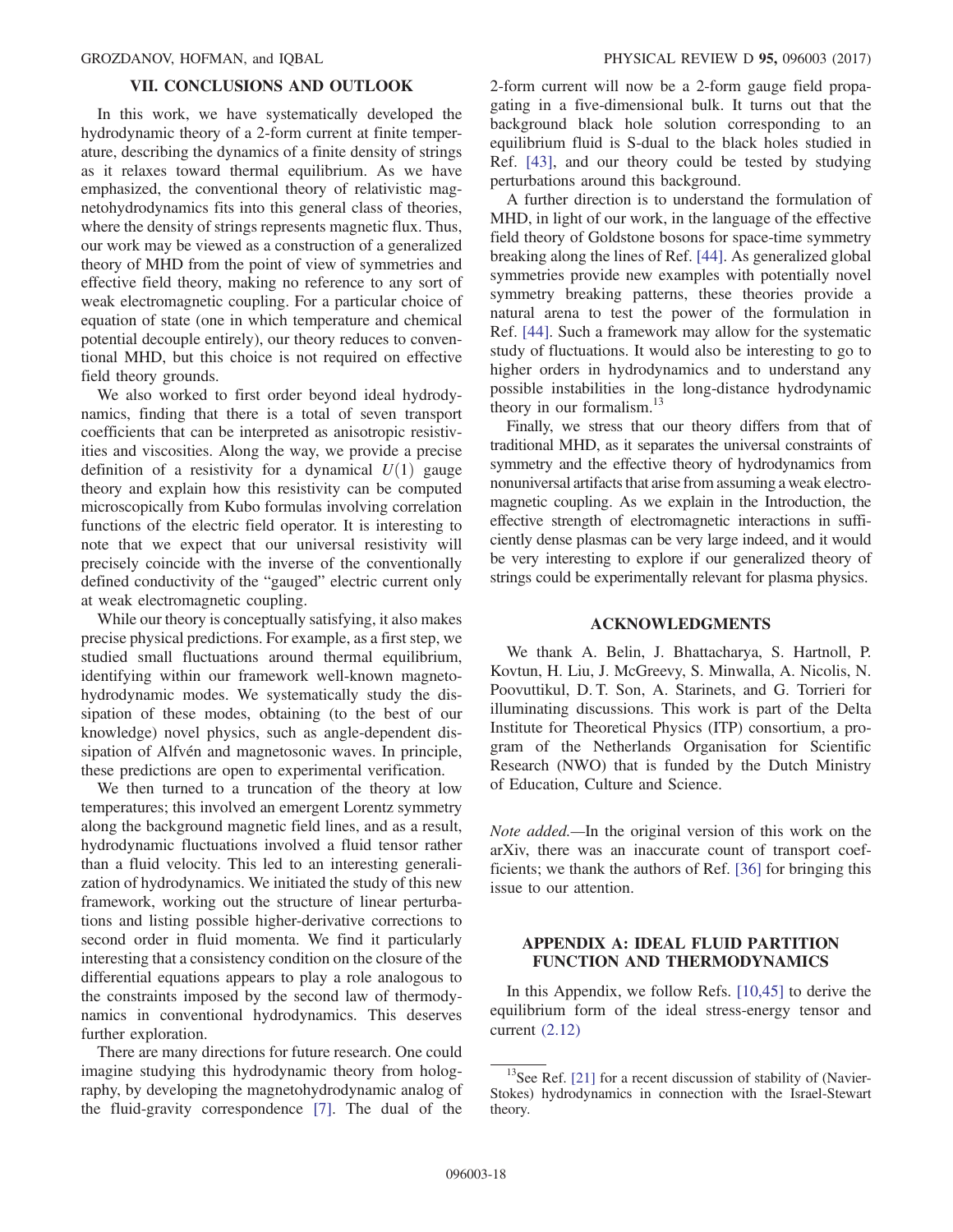## VII. CONCLUSIONS AND OUTLOOK

<span id="page-18-0"></span>In this work, we have systematically developed the hydrodynamic theory of a 2-form current at finite temperature, describing the dynamics of a finite density of strings as it relaxes toward thermal equilibrium. As we have emphasized, the conventional theory of relativistic magnetohydrodynamics fits into this general class of theories, where the density of strings represents magnetic flux. Thus, our work may be viewed as a construction of a generalized theory of MHD from the point of view of symmetries and effective field theory, making no reference to any sort of weak electromagnetic coupling. For a particular choice of equation of state (one in which temperature and chemical potential decouple entirely), our theory reduces to conventional MHD, but this choice is not required on effective field theory grounds.

We also worked to first order beyond ideal hydrodynamics, finding that there is a total of seven transport coefficients that can be interpreted as anisotropic resistivities and viscosities. Along the way, we provide a precise definition of a resistivity for a dynamical  $U(1)$  gauge theory and explain how this resistivity can be computed microscopically from Kubo formulas involving correlation functions of the electric field operator. It is interesting to note that we expect that our universal resistivity will precisely coincide with the inverse of the conventionally defined conductivity of the "gauged" electric current only at weak electromagnetic coupling.

While our theory is conceptually satisfying, it also makes precise physical predictions. For example, as a first step, we studied small fluctuations around thermal equilibrium, identifying within our framework well-known magnetohydrodynamic modes. We systematically study the dissipation of these modes, obtaining (to the best of our knowledge) novel physics, such as angle-dependent dissipation of Alfvén and magnetosonic waves. In principle, these predictions are open to experimental verification.

We then turned to a truncation of the theory at low temperatures; this involved an emergent Lorentz symmetry along the background magnetic field lines, and as a result, hydrodynamic fluctuations involved a fluid tensor rather than a fluid velocity. This led to an interesting generalization of hydrodynamics. We initiated the study of this new framework, working out the structure of linear perturbations and listing possible higher-derivative corrections to second order in fluid momenta. We find it particularly interesting that a consistency condition on the closure of the differential equations appears to play a role analogous to the constraints imposed by the second law of thermodynamics in conventional hydrodynamics. This deserves further exploration.

There are many directions for future research. One could imagine studying this hydrodynamic theory from holography, by developing the magnetohydrodynamic analog of the fluid-gravity correspondence [\[7\]](#page-21-4). The dual of the 2-form current will now be a 2-form gauge field propagating in a five-dimensional bulk. It turns out that the background black hole solution corresponding to an equilibrium fluid is S-dual to the black holes studied in Ref. [\[43\]](#page-22-19), and our theory could be tested by studying perturbations around this background.

A further direction is to understand the formulation of MHD, in light of our work, in the language of the effective field theory of Goldstone bosons for space-time symmetry breaking along the lines of Ref. [\[44\].](#page-22-20) As generalized global symmetries provide new examples with potentially novel symmetry breaking patterns, these theories provide a natural arena to test the power of the formulation in Ref. [\[44\].](#page-22-20) Such a framework may allow for the systematic study of fluctuations. It would also be interesting to go to higher orders in hydrodynamics and to understand any possible instabilities in the long-distance hydrodynamic theory in our formalism. $^{13}$ 

Finally, we stress that our theory differs from that of traditional MHD, as it separates the universal constraints of symmetry and the effective theory of hydrodynamics from nonuniversal artifacts that arise from assuming a weak electromagnetic coupling. As we explain in the Introduction, the effective strength of electromagnetic interactions in sufficiently dense plasmas can be very large indeed, and it would be very interesting to explore if our generalized theory of strings could be experimentally relevant for plasma physics.

## ACKNOWLEDGMENTS

We thank A. Belin, J. Bhattacharya, S. Hartnoll, P. Kovtun, H. Liu, J. McGreevy, S. Minwalla, A. Nicolis, N. Poovuttikul, D. T. Son, A. Starinets, and G. Torrieri for illuminating discussions. This work is part of the Delta Institute for Theoretical Physics (ITP) consortium, a program of the Netherlands Organisation for Scientific Research (NWO) that is funded by the Dutch Ministry of Education, Culture and Science.

<span id="page-18-1"></span>Note added.—In the original version of this work on the arXiv, there was an inaccurate count of transport coefficients; we thank the authors of Ref. [\[36\]](#page-22-13) for bringing this issue to our attention.

# APPENDIX A: IDEAL FLUID PARTITION FUNCTION AND THERMODYNAMICS

<span id="page-18-2"></span>In this Appendix, we follow Refs. [\[10,45\]](#page-22-21) to derive the equilibrium form of the ideal stress-energy tensor and current [\(2.12\)](#page-4-0)

<sup>&</sup>lt;sup>13</sup>See Ref. [\[21\]](#page-22-22) for a recent discussion of stability of (Navier-Stokes) hydrodynamics in connection with the Israel-Stewart theory.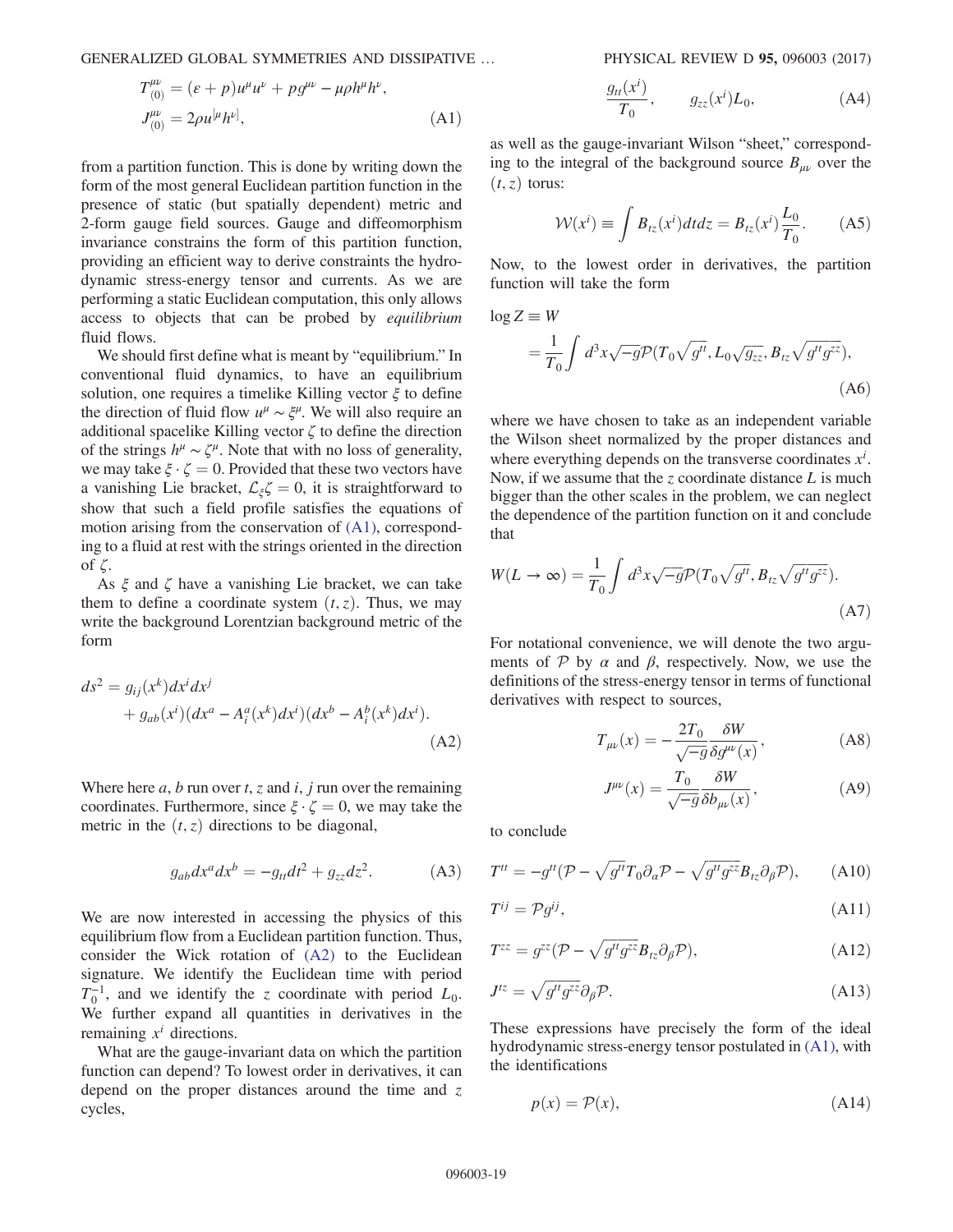GENERALIZED GLOBAL SYMMETRIES AND DISSIPATIVE … PHYSICAL REVIEW D 95, 096003 (2017)

$$
T^{\mu\nu}_{(0)} = (\varepsilon + p)u^{\mu}u^{\nu} + pg^{\mu\nu} - \mu\rho h^{\mu}h^{\nu},
$$
  
\n
$$
J^{\mu\nu}_{(0)} = 2\rho u^{[\mu}h^{\nu]},
$$
\n(A1)

from a partition function. This is done by writing down the form of the most general Euclidean partition function in the presence of static (but spatially dependent) metric and 2-form gauge field sources. Gauge and diffeomorphism invariance constrains the form of this partition function, providing an efficient way to derive constraints the hydrodynamic stress-energy tensor and currents. As we are performing a static Euclidean computation, this only allows access to objects that can be probed by equilibrium fluid flows.

We should first define what is meant by "equilibrium." In conventional fluid dynamics, to have an equilibrium solution, one requires a timelike Killing vector  $\xi$  to define the direction of fluid flow  $u^{\mu} \sim \xi^{\mu}$ . We will also require an additional spacelike Killing vector  $\zeta$  to define the direction of the strings  $h^{\mu} \sim \zeta^{\mu}$ . Note that with no loss of generality, we may take  $\xi \cdot \zeta = 0$ . Provided that these two vectors have a vanishing Lie bracket,  $\mathcal{L}_{\xi} \zeta = 0$ , it is straightforward to show that such a field profile satisfies the equations of motion arising from the conservation of [\(A1\),](#page-18-2) corresponding to a fluid at rest with the strings oriented in the direction of ζ.

<span id="page-19-0"></span>As  $\xi$  and  $\zeta$  have a vanishing Lie bracket, we can take them to define a coordinate system  $(t, z)$ . Thus, we may write the background Lorentzian background metric of the form

$$
ds2 = gij(xk)dxidxj
$$
  
+ 
$$
gab(xi)(dxa - Aia(xk)dxi)(dxb - Aib(xk)dxi).
$$
  
(A2)

Where here  $a, b$  run over  $t, z$  and  $i, j$  run over the remaining coordinates. Furthermore, since  $\xi \cdot \zeta = 0$ , we may take the metric in the  $(t, z)$  directions to be diagonal,

$$
g_{ab}dx^a dx^b = -g_{tt}dt^2 + g_{zz}dz^2.
$$
 (A3)

We are now interested in accessing the physics of this equilibrium flow from a Euclidean partition function. Thus, consider the Wick rotation of [\(A2\)](#page-19-0) to the Euclidean signature. We identify the Euclidean time with period  $T_0^{-1}$ , and we identify the z coordinate with period  $L_0$ . We further expand all quantities in derivatives in the remaining  $x^i$  directions.

What are the gauge-invariant data on which the partition function can depend? To lowest order in derivatives, it can depend on the proper distances around the time and  $z$ cycles,

$$
\frac{g_{tt}(x^i)}{T_0}, \qquad g_{zz}(x^i)L_0,\tag{A4}
$$

as well as the gauge-invariant Wilson "sheet," corresponding to the integral of the background source  $B_{\mu\nu}$  over the  $(t, z)$  torus:

$$
\mathcal{W}(x^i) \equiv \int B_{tz}(x^i) dt dz = B_{tz}(x^i) \frac{L_0}{T_0}.
$$
 (A5)

Now, to the lowest order in derivatives, the partition function will take the form

$$
\log Z \equiv W
$$
  
=  $\frac{1}{T_0} \int d^3x \sqrt{-g} \mathcal{P}(T_0 \sqrt{g^{\mu}}, L_0 \sqrt{g_{zz}}, B_{tz} \sqrt{g^{\mu} g^{zz}}),$  (A6)

where we have chosen to take as an independent variable the Wilson sheet normalized by the proper distances and where everything depends on the transverse coordinates  $x^i$ . Now, if we assume that the  $z$  coordinate distance  $L$  is much bigger than the other scales in the problem, we can neglect the dependence of the partition function on it and conclude that

$$
W(L \to \infty) = \frac{1}{T_0} \int d^3x \sqrt{-g} \mathcal{P}(T_0 \sqrt{g^{tt}}, B_{tz} \sqrt{g^{tt} g^{zz}}).
$$
\n(A7)

For notational convenience, we will denote the two arguments of  $P$  by  $\alpha$  and  $\beta$ , respectively. Now, we use the definitions of the stress-energy tensor in terms of functional derivatives with respect to sources,

$$
T_{\mu\nu}(x) = -\frac{2T_0}{\sqrt{-g}} \frac{\delta W}{\delta g^{\mu\nu}(x)},
$$
 (A8)

$$
J^{\mu\nu}(x) = \frac{T_0}{\sqrt{-g}} \frac{\delta W}{\delta b_{\mu\nu}(x)},
$$
 (A9)

to conclude

$$
T^{tt} = -g^{tt}(\mathcal{P} - \sqrt{g^{tt}}T_0\partial_\alpha \mathcal{P} - \sqrt{g^{tt}g^{zz}}B_{tz}\partial_\beta \mathcal{P}), \qquad (A10)
$$

$$
T^{ij} = \mathcal{P}g^{ij},\tag{A11}
$$

$$
T^{zz} = g^{zz}(\mathcal{P} - \sqrt{g^{tt}g^{zz}}B_{tz}\partial_{\beta}\mathcal{P}), \qquad (A12)
$$

$$
J^{tz} = \sqrt{g^{tt}g^{zz}} \partial_{\beta} \mathcal{P}.
$$
 (A13)

These expressions have precisely the form of the ideal hydrodynamic stress-energy tensor postulated in [\(A1\),](#page-18-2) with the identifications

$$
p(x) = \mathcal{P}(x),\tag{A14}
$$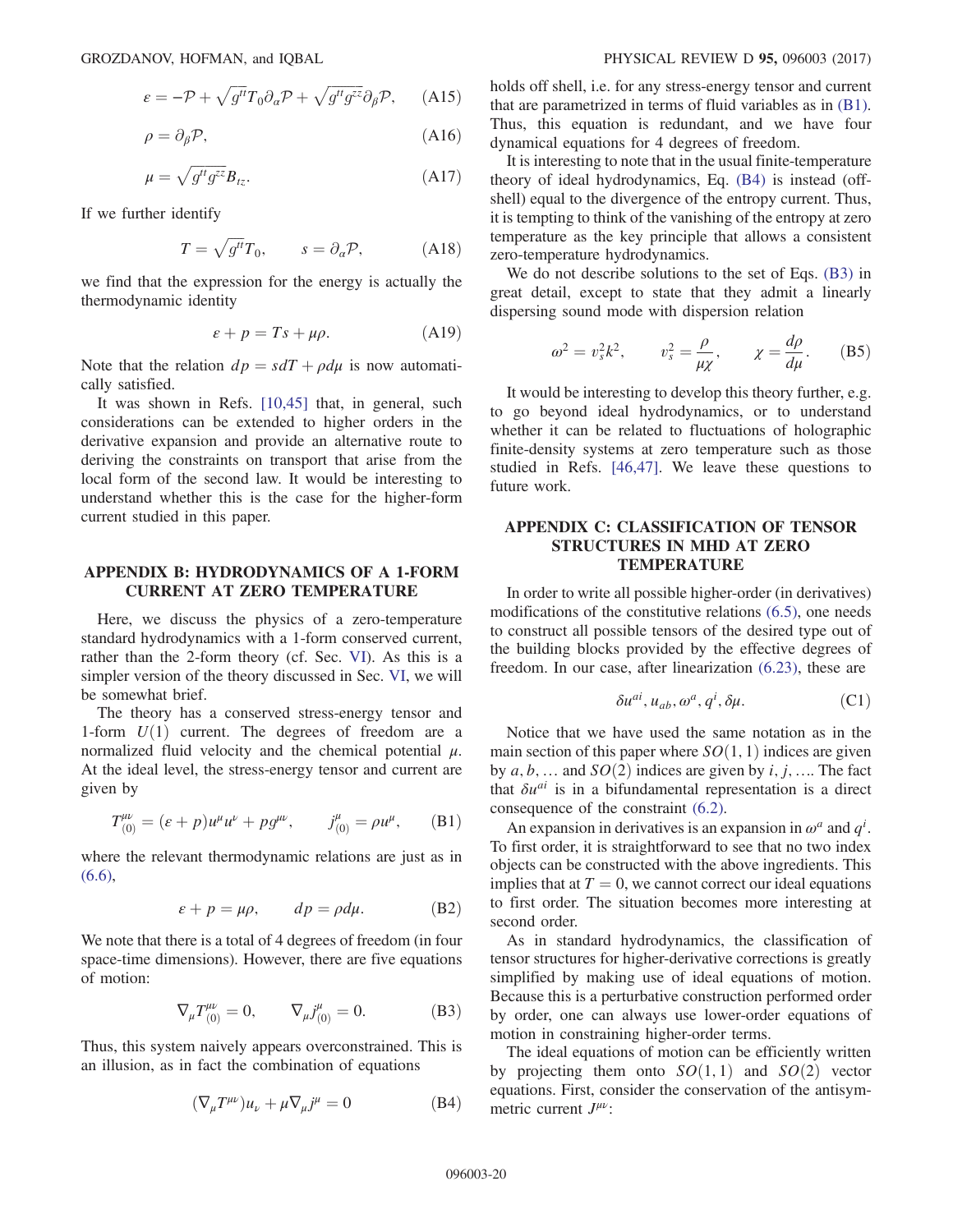$$
\varepsilon = -\mathcal{P} + \sqrt{g^{\mu}} T_0 \partial_{\alpha} \mathcal{P} + \sqrt{g^{\mu} g^{zz}} \partial_{\beta} \mathcal{P}, \quad \text{(A15)}
$$

$$
\rho = \partial_{\beta} \mathcal{P},\tag{A16}
$$

$$
\mu = \sqrt{g^{tt} g^{zz}} B_{tz}.
$$
\n(A17)

If we further identify

$$
T = \sqrt{g^{\mu}} T_0, \qquad s = \partial_{\alpha} \mathcal{P}, \qquad (A18)
$$

we find that the expression for the energy is actually the thermodynamic identity

$$
\varepsilon + p = Ts + \mu \rho. \tag{A19}
$$

Note that the relation  $dp = s dT + \rho d\mu$  is now automatically satisfied.

It was shown in Refs. [\[10,45\]](#page-22-21) that, in general, such considerations can be extended to higher orders in the derivative expansion and provide an alternative route to deriving the constraints on transport that arise from the local form of the second law. It would be interesting to understand whether this is the case for the higher-form current studied in this paper.

# <span id="page-20-0"></span>APPENDIX B: HYDRODYNAMICS OF A 1-FORM CURRENT AT ZERO TEMPERATURE

Here, we discuss the physics of a zero-temperature standard hydrodynamics with a 1-form conserved current, rather than the 2-form theory (cf. Sec. [VI](#page-13-1)). As this is a simpler version of the theory discussed in Sec. [VI,](#page-13-1) we will be somewhat brief.

<span id="page-20-2"></span>The theory has a conserved stress-energy tensor and 1-form  $U(1)$  current. The degrees of freedom are a normalized fluid velocity and the chemical potential  $\mu$ . At the ideal level, the stress-energy tensor and current are given by

$$
T^{\mu\nu}_{(0)} = (\varepsilon + p)u^{\mu}u^{\nu} + pg^{\mu\nu}, \qquad j^{\mu}_{(0)} = \rho u^{\mu}, \qquad (B1)
$$

where the relevant thermodynamic relations are just as in  $(6.6)$ ,

$$
\varepsilon + p = \mu \rho, \qquad dp = \rho d\mu. \tag{B2}
$$

<span id="page-20-4"></span>We note that there is a total of 4 degrees of freedom (in four space-time dimensions). However, there are five equations of motion:

$$
\nabla_{\mu} T^{\mu\nu}_{(0)} = 0, \qquad \nabla_{\mu} j^{\mu}_{(0)} = 0.
$$
 (B3)

<span id="page-20-3"></span>Thus, this system naively appears overconstrained. This is an illusion, as in fact the combination of equations

$$
(\nabla_{\mu}T^{\mu\nu})u_{\nu} + \mu \nabla_{\mu}j^{\mu} = 0
$$
 (B4)

holds off shell, i.e. for any stress-energy tensor and current that are parametrized in terms of fluid variables as in [\(B1\)](#page-20-2). Thus, this equation is redundant, and we have four dynamical equations for 4 degrees of freedom.

It is interesting to note that in the usual finite-temperature theory of ideal hydrodynamics, Eq. [\(B4\)](#page-20-3) is instead (offshell) equal to the divergence of the entropy current. Thus, it is tempting to think of the vanishing of the entropy at zero temperature as the key principle that allows a consistent zero-temperature hydrodynamics.

We do not describe solutions to the set of Eqs. [\(B3\)](#page-20-4) in great detail, except to state that they admit a linearly dispersing sound mode with dispersion relation

$$
\omega^2 = v_s^2 k^2, \qquad v_s^2 = \frac{\rho}{\mu \chi}, \qquad \chi = \frac{d\rho}{d\mu}.
$$
 (B5)

It would be interesting to develop this theory further, e.g. to go beyond ideal hydrodynamics, or to understand whether it can be related to fluctuations of holographic finite-density systems at zero temperature such as those studied in Refs. [\[46,47\]](#page-22-23). We leave these questions to future work.

# <span id="page-20-1"></span>APPENDIX C: CLASSIFICATION OF TENSOR STRUCTURES IN MHD AT ZERO TEMPERATURE

In order to write all possible higher-order (in derivatives) modifications of the constitutive relations [\(6.5\)](#page-14-0), one needs to construct all possible tensors of the desired type out of the building blocks provided by the effective degrees of freedom. In our case, after linearization [\(6.23\),](#page-16-1) these are

$$
\delta u^{ai}, u_{ab}, \omega^a, q^i, \delta \mu.
$$
 (C1)

Notice that we have used the same notation as in the main section of this paper where  $SO(1, 1)$  indices are given by  $a, b, \ldots$  and  $SO(2)$  indices are given by  $i, j, \ldots$  The fact that  $\delta u^{ai}$  is in a bifundamental representation is a direct consequence of the constraint [\(6.2\).](#page-14-2)

An expansion in derivatives is an expansion in  $\omega^a$  and  $q^i$ . To first order, it is straightforward to see that no two index objects can be constructed with the above ingredients. This implies that at  $T = 0$ , we cannot correct our ideal equations to first order. The situation becomes more interesting at second order.

As in standard hydrodynamics, the classification of tensor structures for higher-derivative corrections is greatly simplified by making use of ideal equations of motion. Because this is a perturbative construction performed order by order, one can always use lower-order equations of motion in constraining higher-order terms.

The ideal equations of motion can be efficiently written by projecting them onto  $SO(1,1)$  and  $SO(2)$  vector equations. First, consider the conservation of the antisymmetric current  $J^{\mu\nu}$ :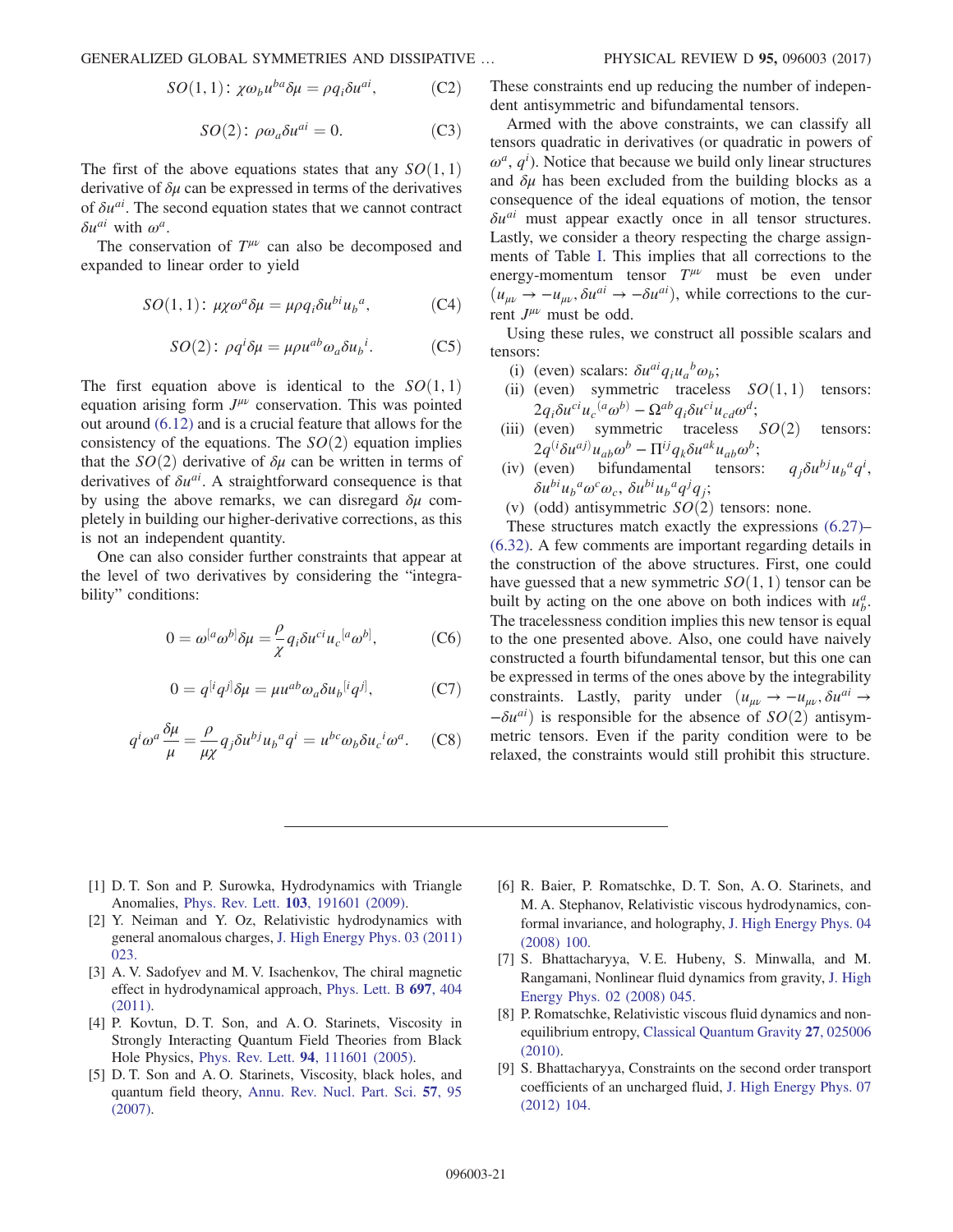GENERALIZED GLOBAL SYMMETRIES AND DISSIPATIVE … PHYSICAL REVIEW D 95, 096003 (2017)

$$
SO(1,1):\ \chi\omega_b u^{ba}\delta\mu = \rho q_i \delta u^{ai},\tag{C2}
$$

$$
SO(2): \rho \omega_a \delta u^{ai} = 0. \tag{C3}
$$

The first of the above equations states that any  $SO(1, 1)$ derivative of  $\delta \mu$  can be expressed in terms of the derivatives of  $\delta u^{ai}$ . The second equation states that we cannot contract  $\delta u^{ai}$  with  $\omega^a$ .

The conservation of  $T^{\mu\nu}$  can also be decomposed and expanded to linear order to yield

$$
SO(1,1): \mu \chi \omega^a \delta \mu = \mu \rho q_i \delta u^{bi} u_b{}^a, \tag{C4}
$$

$$
SO(2): \rho q^i \delta \mu = \mu \rho u^{ab} \omega_a \delta u_b^i. \tag{C5}
$$

The first equation above is identical to the  $SO(1,1)$ equation arising form  $J^{\mu\nu}$  conservation. This was pointed out around [\(6.12\)](#page-15-0) and is a crucial feature that allows for the consistency of the equations. The  $SO(2)$  equation implies that the  $SO(2)$  derivative of  $\delta \mu$  can be written in terms of derivatives of  $\delta u^{ai}$ . A straightforward consequence is that by using the above remarks, we can disregard  $\delta \mu$  completely in building our higher-derivative corrections, as this is not an independent quantity.

One can also consider further constraints that appear at the level of two derivatives by considering the "integrability" conditions:

$$
0 = \omega^{[a} \omega^{b]} \delta \mu = \frac{\rho}{\chi} q_i \delta u^{ci} u_c^{[a} \omega^{b]}, \qquad (C6)
$$

$$
0 = q^{[i}q^{j]}\delta\mu = \mu u^{ab}\omega_a \delta u_b^{[i}q^{j]},\tag{C7}
$$

$$
q^i \omega^a \frac{\delta \mu}{\mu} = \frac{\rho}{\mu \chi} q_j \delta u^{bj} u_b^a q^i = u^{bc} \omega_b \delta u_c^i \omega^a.
$$
 (C8)

These constraints end up reducing the number of independent antisymmetric and bifundamental tensors.

Armed with the above constraints, we can classify all tensors quadratic in derivatives (or quadratic in powers of  $\omega^a$ ,  $q^i$ ). Notice that because we build only linear structures and  $\delta\mu$  has been excluded from the building blocks as a consequence of the ideal equations of motion, the tensor  $\delta u^{ai}$  must appear exactly once in all tensor structures. Lastly, we consider a theory respecting the charge assignments of Table [I](#page-5-0). This implies that all corrections to the energy-momentum tensor  $T^{\mu\nu}$  must be even under  $(u_{\mu\nu} \rightarrow -u_{\mu\nu}, \delta u^{ai} \rightarrow -\delta u^{ai})$ , while corrections to the current  $J^{\mu\nu}$  must be odd.

Using these rules, we construct all possible scalars and tensors:

- (i) (even) scalars:  $\delta u^{ai} q_i u_a^b \omega_b$ ;
- (ii) (even) symmetric traceless  $SO(1,1)$  tensors:  $2q_i\delta u^{ci}u_c{}^{(a}\omega^{b)} - \Omega^{ab}q_i\delta u^{ci}u_{cd}\omega^d;$
- (iii) (even) symmetric traceless  $SO(2)$  tensors:<br> $2g^{(i\delta u^{d})}u$   $g^{b}$   $\overline{\Pi}^{ij}g$   $\delta u^{ak}u$   $g^{b}$ .  $2q^{(i}\delta u^{aj)}u_{ab}\omega^b - \Pi^{ij}q_k\delta u^{ak}u_{ab}\omega^b;$
- (iv) (even) bifundamental tensors:  $^{a}q^{i},$  $\delta u^{bi}u_{b}{}^{a}\omega^{c}\omega_{c}$ ,  $\delta u^{bi}u_{b}{}^{a}q^{j}q_{j};$
- (v) (odd) antisymmetric  $SO(2)$  tensors: none.

These structures match exactly the expressions [\(6.27\)](#page-16-2)– [\(6.32\)](#page-16-3). A few comments are important regarding details in the construction of the above structures. First, one could have guessed that a new symmetric  $SO(1, 1)$  tensor can be built by acting on the one above on both indices with  $u_b^a$ . The tracelessness condition implies this new tensor is equal to the one presented above. Also, one could have naively constructed a fourth bifundamental tensor, but this one can be expressed in terms of the ones above by the integrability constraints. Lastly, parity under  $(u_{\mu\nu} \rightarrow -u_{\mu\nu}, \delta u^{ai} \rightarrow$  $-\delta u^{ai}$ ) is responsible for the absence of  $SO(2)$  antisymmetric tensors. Even if the parity condition were to be relaxed, the constraints would still prohibit this structure.

- <span id="page-21-0"></span>[1] D. T. Son and P. Surowka, Hydrodynamics with Triangle Anomalies, Phys. Rev. Lett. 103[, 191601 \(2009\)](https://doi.org/10.1103/PhysRevLett.103.191601).
- [2] Y. Neiman and Y. Oz, Relativistic hydrodynamics with general anomalous charges, [J. High Energy Phys. 03 \(2011\)](https://doi.org/10.1007/JHEP03(2011)023) [023.](https://doi.org/10.1007/JHEP03(2011)023)
- [3] A. V. Sadofyev and M. V. Isachenkov, The chiral magnetic effect in hydrodynamical approach, [Phys. Lett. B](https://doi.org/10.1016/j.physletb.2011.02.041) 697, 404 [\(2011\).](https://doi.org/10.1016/j.physletb.2011.02.041)
- <span id="page-21-1"></span>[4] P. Kovtun, D. T. Son, and A. O. Starinets, Viscosity in Strongly Interacting Quantum Field Theories from Black Hole Physics, Phys. Rev. Lett. 94[, 111601 \(2005\)](https://doi.org/10.1103/PhysRevLett.94.111601).
- <span id="page-21-3"></span>[5] D. T. Son and A. O. Starinets, Viscosity, black holes, and quantum field theory, [Annu. Rev. Nucl. Part. Sci.](https://doi.org/10.1146/annurev.nucl.57.090506.123120) 57, 95 [\(2007\).](https://doi.org/10.1146/annurev.nucl.57.090506.123120)
- <span id="page-21-2"></span>[6] R. Baier, P. Romatschke, D. T. Son, A. O. Starinets, and M. A. Stephanov, Relativistic viscous hydrodynamics, conformal invariance, and holography, [J. High Energy Phys. 04](https://doi.org/10.1088/1126-6708/2008/04/100) [\(2008\) 100.](https://doi.org/10.1088/1126-6708/2008/04/100)
- <span id="page-21-4"></span>[7] S. Bhattacharyya, V. E. Hubeny, S. Minwalla, and M. Rangamani, Nonlinear fluid dynamics from gravity, [J. High](https://doi.org/10.1088/1126-6708/2008/02/045) [Energy Phys. 02 \(2008\) 045.](https://doi.org/10.1088/1126-6708/2008/02/045)
- [8] P. Romatschke, Relativistic viscous fluid dynamics and nonequilibrium entropy, [Classical Quantum Gravity](https://doi.org/10.1088/0264-9381/27/2/025006) 27, 025006 [\(2010\).](https://doi.org/10.1088/0264-9381/27/2/025006)
- [9] S. Bhattacharyya, Constraints on the second order transport coefficients of an uncharged fluid, [J. High Energy Phys. 07](https://doi.org/10.1007/JHEP07(2012)104) [\(2012\) 104.](https://doi.org/10.1007/JHEP07(2012)104)